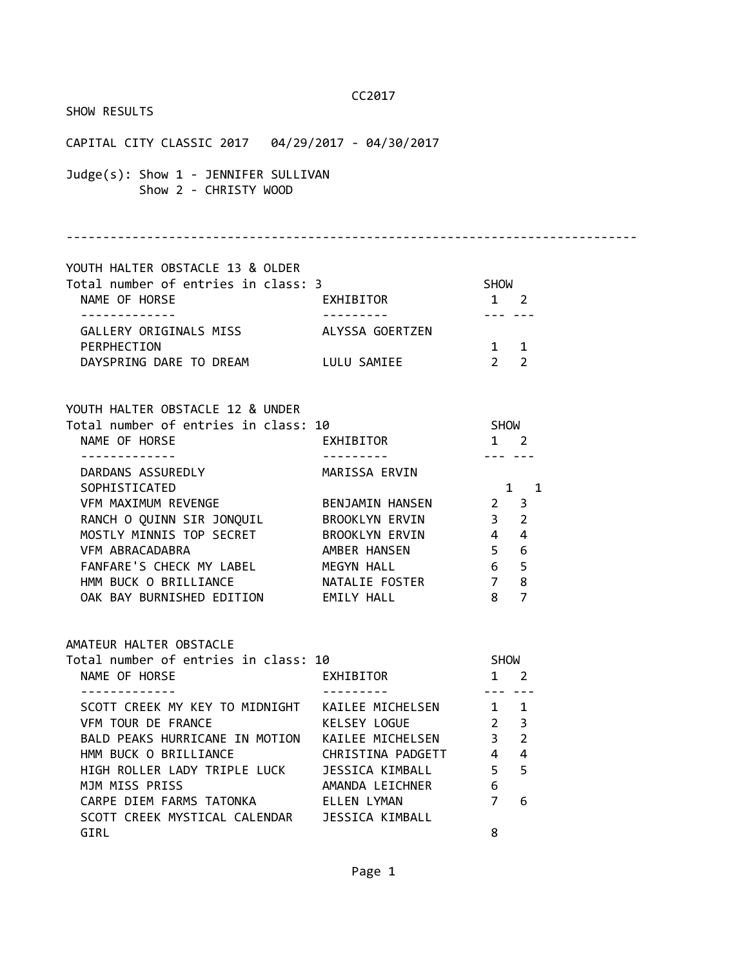#### SHOW RESULTS

CC2017 CAPITAL CITY CLASSIC 2017 04/29/2017 - 04/30/2017 Judge(s): Show 1 - JENNIFER SULLIVAN Show 2 - CHRISTY WOOD ------------------------------------------------------------------------------ YOUTH HALTER OBSTACLE 13 & OLDER Total number of entries in class: 3 SHOW NAME OF HORSE THE SEXHIBITOR THE 2 ------------- --------- --- --- GALLERY ORIGINALS MISS ALYSSA GOERTZEN PERPHECTION 1 1 DAYSPRING DARE TO DREAM LULU SAMIEE 2 2 YOUTH HALTER OBSTACLE 12 & UNDER Total number of entries in class: 10 SHOW NAME OF HORSE **EXHIBITOR** 1 2 ------------- --------- --- --- DARDANS ASSUREDLY MARISSA ERVIN SOPHISTICATED 1 1 1 VFM MAXIMUM REVENGE BENJAMIN HANSEN 2 3 RANCH O QUINN SIR JONQUIL BROOKLYN ERVIN 3 2 MOSTLY MINNIS TOP SECRET BROOKLYN ERVIN 444 VFM ABRACADABRA **AMBER HANSEN** 5 6 FANFARE'S CHECK MY LABEL MEGYN HALL 6 5 HMM BUCK O BRILLIANCE NATALIE FOSTER 7 8 OAK BAY BURNISHED EDITION EMILY HALL 8 7 AMATEUR HALTER OBSTACLE Total number of entries in class: 10 SHOW NAME OF HORSE **EXHIBITOR** 1 2 ------------- --------- --- --- SCOTT CREEK MY KEY TO MIDNIGHT KAILEE MICHELSEN 1 1 VFM TOUR DE FRANCE KELSEY LOGUE 2 3 BALD PEAKS HURRICANE IN MOTION KAILEE MICHELSEN 3 2 HMM BUCK O BRILLIANCE CHRISTINA PADGETT 4 4

 HIGH ROLLER LADY TRIPLE LUCK JESSICA KIMBALL 5 5 MJM MISS PRISS **AMANDA LEICHNER** 6 CARPE DIEM FARMS TATONKA CALLEN LYMAN 7 6

GIRL 8

SCOTT CREEK MYSTICAL CALENDAR JESSICA KIMBALL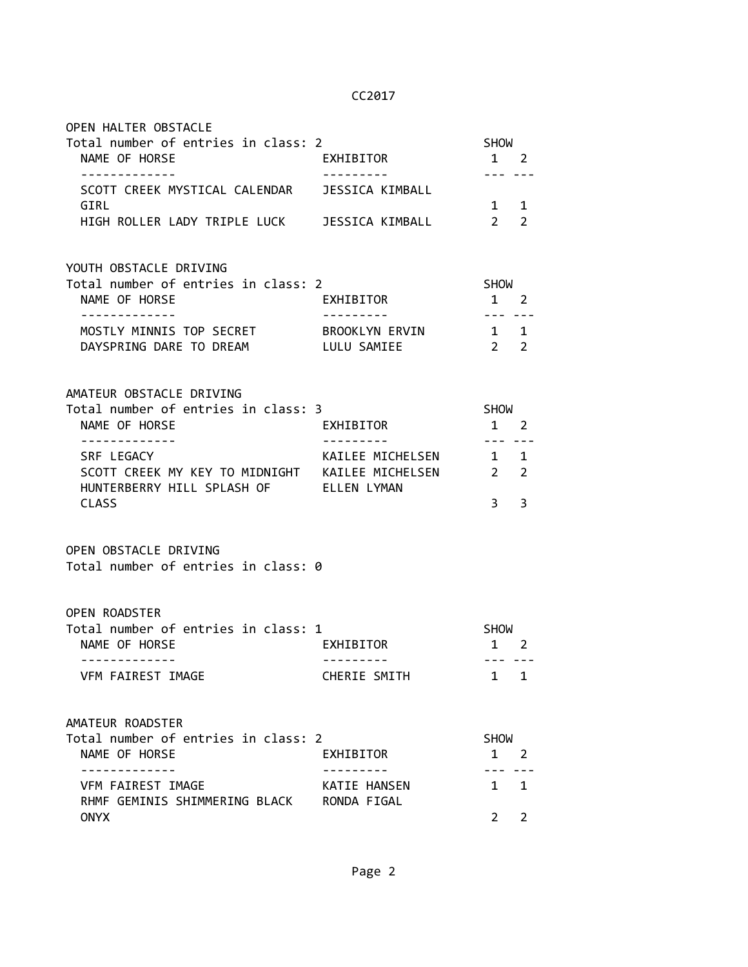| OPEN HALTER OBSTACLE                                                                                               |                                |                                                                                                                                                                                                                                                                                                                                                                                                                                                                                           |                |
|--------------------------------------------------------------------------------------------------------------------|--------------------------------|-------------------------------------------------------------------------------------------------------------------------------------------------------------------------------------------------------------------------------------------------------------------------------------------------------------------------------------------------------------------------------------------------------------------------------------------------------------------------------------------|----------------|
| Total number of entries in class: 2<br>NAME OF HORSE<br>-------------                                              | EXHIBITOR<br>----------        | <b>SHOW</b><br>$1 \quad 2$<br>$\frac{1}{2} \frac{1}{2} \frac{1}{2} \frac{1}{2} \frac{1}{2} \frac{1}{2} \frac{1}{2} \frac{1}{2} \frac{1}{2} \frac{1}{2} \frac{1}{2} \frac{1}{2} \frac{1}{2} \frac{1}{2} \frac{1}{2} \frac{1}{2} \frac{1}{2} \frac{1}{2} \frac{1}{2} \frac{1}{2} \frac{1}{2} \frac{1}{2} \frac{1}{2} \frac{1}{2} \frac{1}{2} \frac{1}{2} \frac{1}{2} \frac{1}{2} \frac{1}{2} \frac{1}{2} \frac{1}{2} \frac{$                                                                |                |
| SCOTT CREEK MYSTICAL CALENDAR JESSICA KIMBALL<br>GIRL                                                              |                                | $1 \quad 1$                                                                                                                                                                                                                                                                                                                                                                                                                                                                               |                |
| HIGH ROLLER LADY TRIPLE LUCK JESSICA KIMBALL                                                                       |                                | 2 <sup>2</sup>                                                                                                                                                                                                                                                                                                                                                                                                                                                                            |                |
| YOUTH OBSTACLE DRIVING<br>Total number of entries in class: 2                                                      |                                | <b>SHOW</b>                                                                                                                                                                                                                                                                                                                                                                                                                                                                               |                |
| NAME OF HORSE                                                                                                      | EXHIBITOR                      | $1 \quad 2$                                                                                                                                                                                                                                                                                                                                                                                                                                                                               |                |
| . <u>_ _ _ _ _ _ _ _ _ _ _</u> _<br>MOSTLY MINNIS TOP SECRET BROOKLYN ERVIN<br>DAYSPRING DARE TO DREAM LULU SAMIEE |                                | $1 \quad 1$<br>$2\quad 2$                                                                                                                                                                                                                                                                                                                                                                                                                                                                 |                |
| AMATEUR OBSTACLE DRIVING<br>Total number of entries in class: 3                                                    |                                | SHOW                                                                                                                                                                                                                                                                                                                                                                                                                                                                                      |                |
| NAME OF HORSE                                                                                                      | EXHIBITOR                      | $1\quad 2$                                                                                                                                                                                                                                                                                                                                                                                                                                                                                |                |
| -------------<br>SRF LEGACY                                                                                        | ----------<br>KAILEE MICHELSEN | $\frac{1}{2} \left( \frac{1}{2} \right) \left( \frac{1}{2} \right) \left( \frac{1}{2} \right) \left( \frac{1}{2} \right) \left( \frac{1}{2} \right) \left( \frac{1}{2} \right) \left( \frac{1}{2} \right) \left( \frac{1}{2} \right) \left( \frac{1}{2} \right) \left( \frac{1}{2} \right) \left( \frac{1}{2} \right) \left( \frac{1}{2} \right) \left( \frac{1}{2} \right) \left( \frac{1}{2} \right) \left( \frac{1}{2} \right) \left( \frac{1}{2} \right) \left( \frac$<br>$1 \quad 1$ |                |
| SCOTT CREEK MY KEY TO MIDNIGHT KAILEE MICHELSEN 2 2<br>HUNTERBERRY HILL SPLASH OF ELLEN LYMAN                      |                                |                                                                                                                                                                                                                                                                                                                                                                                                                                                                                           |                |
| <b>CLASS</b>                                                                                                       |                                | $3^{\circ}$                                                                                                                                                                                                                                                                                                                                                                                                                                                                               | 3              |
| OPEN OBSTACLE DRIVING<br>Total number of entries in class: 0                                                       |                                |                                                                                                                                                                                                                                                                                                                                                                                                                                                                                           |                |
| <b>OPEN ROADSTER</b>                                                                                               |                                |                                                                                                                                                                                                                                                                                                                                                                                                                                                                                           |                |
| Total number of entries in class: 1<br>NAME OF HORSE                                                               | EXHIBITOR                      | SHOW<br>$1\quad 2$                                                                                                                                                                                                                                                                                                                                                                                                                                                                        |                |
| -------------<br>VFM FAIREST IMAGE                                                                                 | CHERIE SMITH                   | --- ---<br>1                                                                                                                                                                                                                                                                                                                                                                                                                                                                              | 1              |
| AMATEUR ROADSTER                                                                                                   |                                |                                                                                                                                                                                                                                                                                                                                                                                                                                                                                           |                |
| Total number of entries in class: 2<br>NAME OF HORSE                                                               | EXHIBITOR                      | <b>SHOW</b><br>$1 \quad 2$                                                                                                                                                                                                                                                                                                                                                                                                                                                                |                |
| <u> - - - - - - - - - -</u> .                                                                                      |                                |                                                                                                                                                                                                                                                                                                                                                                                                                                                                                           |                |
| VFM FAIREST IMAGE<br>RHMF GEMINIS SHIMMERING BLACK RONDA FIGAL                                                     | KATIE HANSEN                   | $1 \quad$                                                                                                                                                                                                                                                                                                                                                                                                                                                                                 | 1              |
| <b>ONYX</b>                                                                                                        |                                | $\overline{2}$                                                                                                                                                                                                                                                                                                                                                                                                                                                                            | $\overline{2}$ |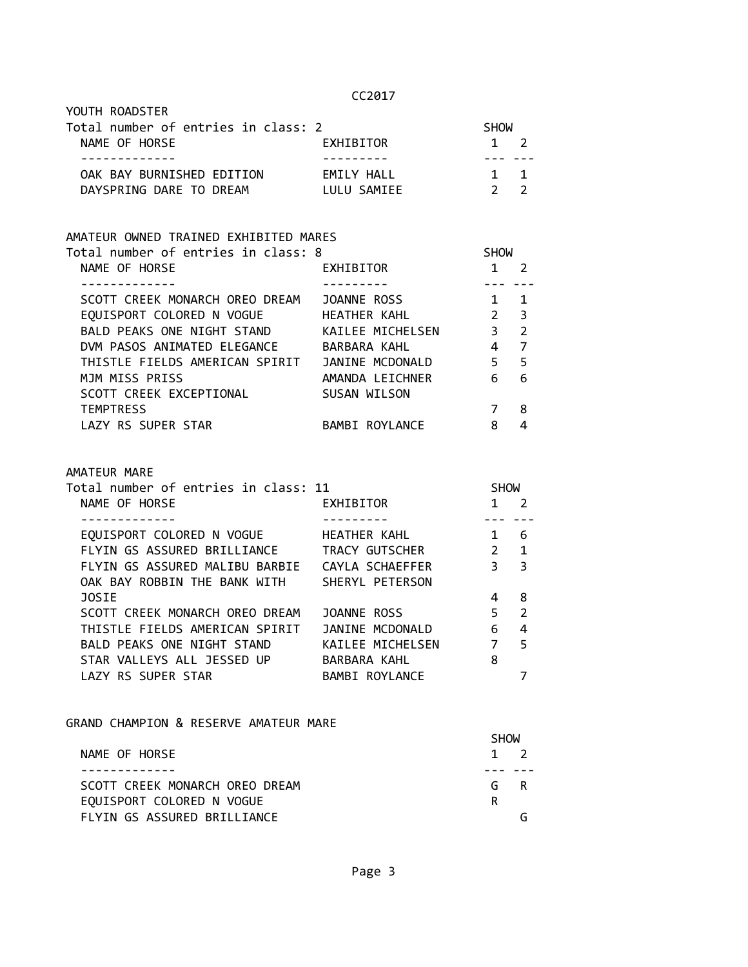| YOUTH ROADSTER                      |             |             |  |
|-------------------------------------|-------------|-------------|--|
| Total number of entries in class: 2 |             | <b>SHOW</b> |  |
| NAME OF HORSE                       | EXHIBITOR   | $1 \quad 2$ |  |
|                                     |             |             |  |
| OAK BAY BURNISHED EDITION           | FMTIY HAII  | $1 \quad 1$ |  |
| DAYSPRING DARE TO DREAM             | LULU SAMIEE |             |  |

# AMATEUR OWNED TRAINED EXHIBITED MARES

| Total number of entries in class: 8 |                  | <b>SHOW</b>      |                |  |
|-------------------------------------|------------------|------------------|----------------|--|
| NAME OF HORSE                       | EXHIBITOR        |                  | 2              |  |
|                                     |                  |                  |                |  |
| SCOTT CREEK MONARCH OREO DREAM      | JOANNE ROSS      |                  | 1              |  |
| EQUISPORT COLORED N VOGUE           | HEATHER KAHL     | $2 \overline{3}$ |                |  |
| BALD PEAKS ONE NIGHT STAND          | KAILEE MICHELSEN | 3                | $\overline{2}$ |  |
| DVM PASOS ANIMATED ELEGANCE         | BARBARA KAHL     | 4                | 7              |  |
| THISTLE FIELDS AMERICAN SPIRIT      | JANINE MCDONALD  | 5.               | $-5$           |  |
| MJM MISS PRISS                      | AMANDA LEICHNER  | 6                | 6              |  |
| SCOTT CREEK EXCEPTIONAL             | SUSAN WILSON     |                  |                |  |
| <b>TEMPTRESS</b>                    |                  |                  | 8              |  |
| LAZY RS SUPER STAR                  | BAMBI ROYLANCE   | 8                | 4              |  |
|                                     |                  |                  |                |  |

#### AMATEUR MARE

| Total number of entries in class: 11 |                  | <b>SHOW</b>                              |                |  |
|--------------------------------------|------------------|------------------------------------------|----------------|--|
| NAME OF HORSE                        | EXHIBITOR        |                                          | 2              |  |
|                                      |                  |                                          |                |  |
| EQUISPORT COLORED N VOGUE            | HEATHER KAHL     |                                          | 6              |  |
| FLYIN GS ASSURED BRILLIANCE          | TRACY GUTSCHER   | $\begin{array}{ccc} & 2 & 1 \end{array}$ |                |  |
| FLYIN GS ASSURED MALIBU BARBIE       | CAYLA SCHAEFFER  |                                          | 3 <sup>3</sup> |  |
| OAK BAY ROBBIN THE BANK WITH         | SHERYL PETERSON  |                                          |                |  |
| <b>JOSIE</b>                         |                  |                                          | 8              |  |
| SCOTT CREEK MONARCH OREO DREAM       | JOANNE ROSS      | 5                                        | $\overline{2}$ |  |
| THISTLE FIELDS AMERICAN SPIRIT       | JANINE MCDONALD  | 6                                        | 4              |  |
| BALD PEAKS ONE NIGHT STAND           | KAILEE MICHELSEN | 7                                        | 5              |  |
| STAR VALLEYS ALL JESSED UP           | BARBARA KAHL     | 8                                        |                |  |
| LAZY RS SUPER STAR                   | BAMBI ROYLANCE   |                                          |                |  |

GRAND CHAMPION & RESERVE AMATEUR MARE

|                                | <b>SHOW</b> |
|--------------------------------|-------------|
| NAME OF HORSE                  | $1 \quad 2$ |
|                                |             |
| SCOTT CREEK MONARCH OREO DREAM | G R         |
| EQUISPORT COLORED N VOGUE      | R           |
| FLYIN GS ASSURED BRILLIANCE    |             |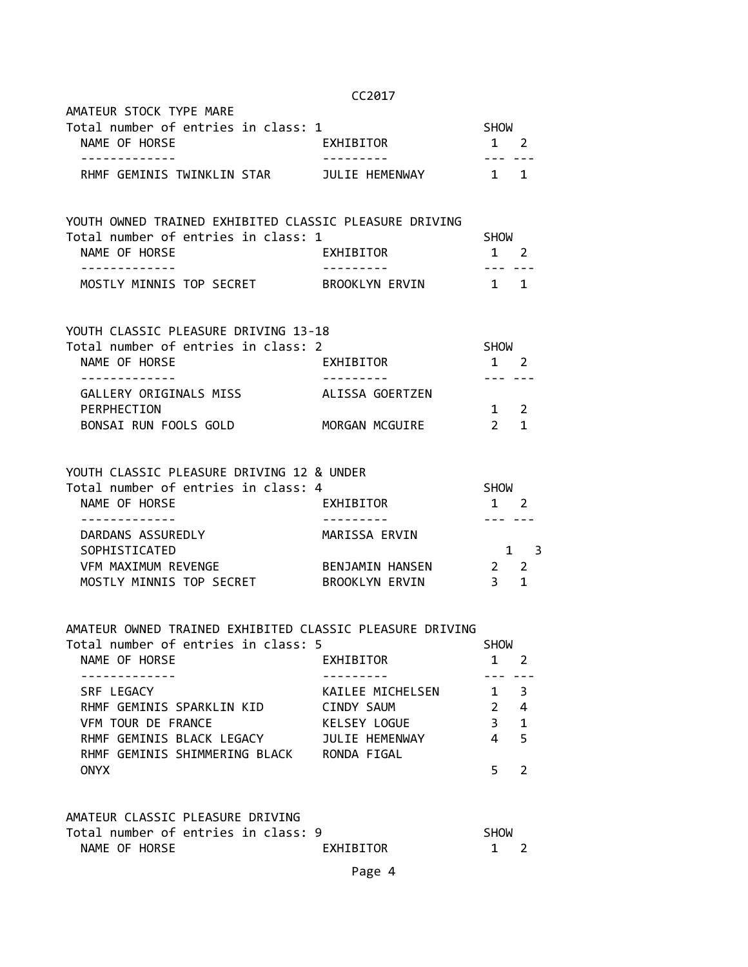|                                                                                               | CC2017              |                                                                                                                                                                                                                               |             |
|-----------------------------------------------------------------------------------------------|---------------------|-------------------------------------------------------------------------------------------------------------------------------------------------------------------------------------------------------------------------------|-------------|
| AMATEUR STOCK TYPE MARE                                                                       |                     |                                                                                                                                                                                                                               |             |
| Total number of entries in class: 1<br>NAME OF HORSE<br>. <u>.</u> .                          | EXHIBITOR           | <b>SHOW</b><br>$1\quad 2$                                                                                                                                                                                                     |             |
| RHMF GEMINIS TWINKLIN STAR JULIE HEMENWAY 1 1                                                 |                     |                                                                                                                                                                                                                               |             |
| YOUTH OWNED TRAINED EXHIBITED CLASSIC PLEASURE DRIVING<br>Total number of entries in class: 1 |                     | <b>SHOW</b>                                                                                                                                                                                                                   |             |
| NAME OF HORSE                                                                                 | EXHIBITOR           | $1 \quad 2$                                                                                                                                                                                                                   |             |
| -------------<br>MOSTLY MINNIS TOP SECRET BROOKLYN ERVIN 1 1                                  | -----------         | 1000 - 1000 - 1000 - 1000 - 1000 - 1000 - 1000 - 1000 - 1000 - 1000 - 1000 - 1000 - 1000 - 1000 - 1000 - 1000 - 1000 - 1000 - 1000 - 1000 - 1000 - 1000 - 1000 - 1000 - 1000 - 1000 - 1000 - 1000 - 1000 - 1000 - 1000 - 1000 |             |
| YOUTH CLASSIC PLEASURE DRIVING 13-18<br>Total number of entries in class: 2                   |                     | <b>SHOW</b>                                                                                                                                                                                                                   |             |
| NAME OF HORSE                                                                                 | EXHIBITOR           | $1 \quad 2$                                                                                                                                                                                                                   |             |
| -------------<br>GALLERY ORIGINALS MISS ALISSA GOERTZEN                                       | ----------          |                                                                                                                                                                                                                               |             |
| PERPHECTION                                                                                   |                     | $1\quad 2$                                                                                                                                                                                                                    |             |
| BONSAI RUN FOOLS GOLD MORGAN MCGUIRE                                                          |                     | $2 \quad 1$                                                                                                                                                                                                                   |             |
| YOUTH CLASSIC PLEASURE DRIVING 12 & UNDER                                                     |                     |                                                                                                                                                                                                                               |             |
| Total number of entries in class: 4                                                           |                     | <b>SHOW</b>                                                                                                                                                                                                                   |             |
| NAME OF HORSE<br>-------------                                                                | <b>EXHIBITOR</b>    | $1 \quad 2$                                                                                                                                                                                                                   |             |
| DARDANS ASSUREDLY                                                                             | MARISSA ERVIN       |                                                                                                                                                                                                                               |             |
| SOPHISTICATED<br>VFM MAXIMUM REVENGE                                                          | BENJAMIN HANSEN 2 2 |                                                                                                                                                                                                                               | $1 \quad 3$ |
| MOSTLY MINNIS TOP SECRET BROOKLYN ERVIN                                                       |                     | $3 \quad 1$                                                                                                                                                                                                                   |             |
| AMATEUR OWNED TRAINED EXHIBITED CLASSIC PLEASURE DRIVING                                      |                     |                                                                                                                                                                                                                               |             |
| Total number of entries in class: 5<br>$NIMF$ of $IOPCF$ $IVIITDTTOP$                         |                     | <b>SHOW</b><br>$\sim$ 1 $\sim$                                                                                                                                                                                                |             |

| NAME OF HORSE                 | EXHIBITOR        |   |                         |
|-------------------------------|------------------|---|-------------------------|
|                               |                  |   |                         |
| SRF LEGACY                    | KAILEE MICHELSEN |   | $\overline{\mathbf{3}}$ |
| RHMF GEMINIS SPARKLIN KID     | CINDY SAUM       |   | 4                       |
| VEM TOUR DE FRANCE            | KELSEY LOGUE     | 3 | $\mathbf 1$             |
| RHMF GEMINIS BLACK LEGACY     | JULIE HEMENWAY   |   | - 5                     |
| RHMF GEMINIS SHIMMERING BLACK | RONDA FIGAL      |   |                         |
| <b>ONYX</b>                   |                  |   |                         |

# AMATEUR CLASSIC PLEASURE DRIVING

|               | Total number of entries in class: 9 |  |           | <b>SHOW</b> |  |
|---------------|-------------------------------------|--|-----------|-------------|--|
| NAME OF HORSE |                                     |  | EXHIBITOR |             |  |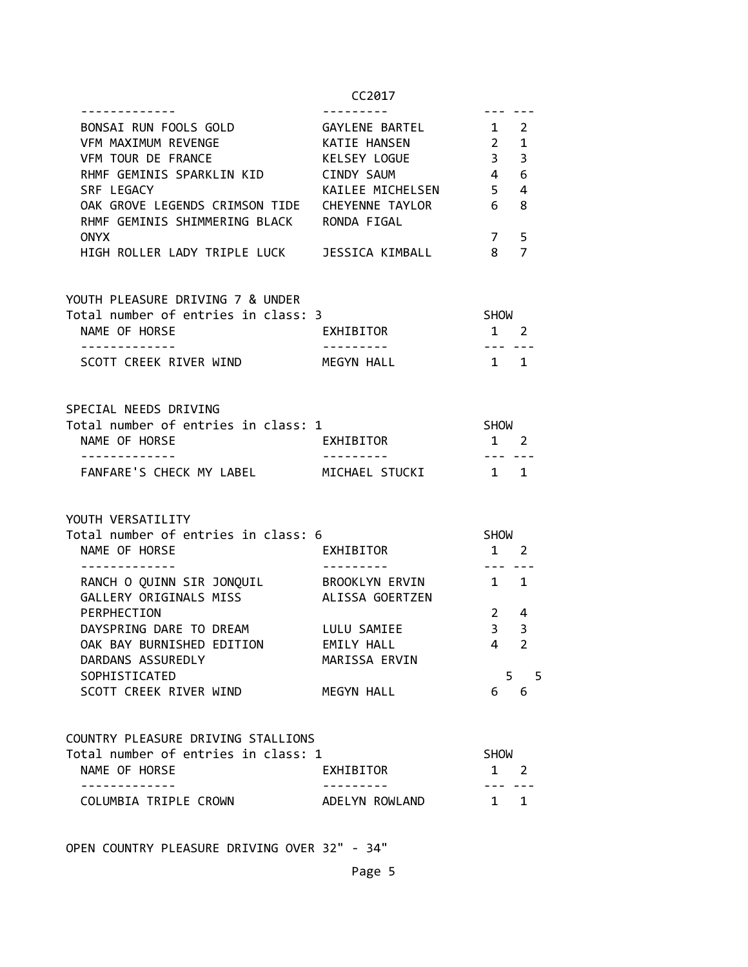| BONSAI RUN FOOLS GOLD                               | GAYLENE BARTEL       | $1\quad 2$                  |                         |
|-----------------------------------------------------|----------------------|-----------------------------|-------------------------|
| VFM MAXIMUM REVENGE                                 | KATIE HANSEN         | $2 \quad 1$                 |                         |
| VFM TOUR DE FRANCE                                  | KELSEY LOGUE         | 3 <sup>7</sup>              | $\overline{\mathbf{3}}$ |
| RHMF GEMINIS SPARKLIN KID                           | CINDY SAUM           | $4\quad 6$                  |                         |
| SRF LEGACY                                          | KAILEE MICHELSEN 5 4 |                             |                         |
| OAK GROVE LEGENDS CRIMSON TIDE  CHEYENNE TAYLOR 6 8 |                      |                             |                         |
|                                                     |                      |                             |                         |
| RHMF GEMINIS SHIMMERING BLACK RONDA FIGAL           |                      |                             |                         |
| ONYX                                                |                      | 7 <sub>5</sub>              |                         |
| HIGH ROLLER LADY TRIPLE LUCK JESSICA KIMBALL        |                      | 8 <sub>7</sub>              |                         |
| YOUTH PLEASURE DRIVING 7 & UNDER                    |                      |                             |                         |
| Total number of entries in class: 3                 |                      | SHOW                        |                         |
| NAME OF HORSE                                       | EXHIBITOR            | $1 \quad 2$                 |                         |
|                                                     |                      |                             |                         |
| SCOTT CREEK RIVER WIND                              | MEGYN HALL           | $1 \quad 1$                 |                         |
|                                                     |                      |                             |                         |
| SPECIAL NEEDS DRIVING                               |                      |                             |                         |
| Total number of entries in class: 1                 |                      | <b>SHOW</b>                 |                         |
| NAME OF HORSE                                       | EXHIBITOR            | $1\quad 2$                  |                         |
| -------------                                       | ---------            |                             |                         |
| FANFARE'S CHECK MY LABEL MICHAEL STUCKI             |                      | $1 \quad 1$                 |                         |
| YOUTH VERSATILITY                                   |                      |                             |                         |
| Total number of entries in class: 6                 |                      | SHOW                        |                         |
| NAME OF HORSE                                       | EXHIBITOR            | $1 \quad 2$                 |                         |
|                                                     |                      |                             |                         |
| RANCH O QUINN SIR JONQUIL BROOKLYN ERVIN            |                      | $1 \quad 1$                 |                         |
| GALLERY ORIGINALS MISS ALISSA GOERTZEN              |                      |                             |                         |
| PERPHECTION                                         |                      | $2 \quad 4$                 |                         |
| DAYSPRING DARE TO DREAM LULU SAMIEE                 |                      | $3 \overline{\phantom{0}3}$ |                         |
| OAK BAY BURNISHED EDITION EMILY HALL                |                      | 4 <sub>2</sub>              |                         |
| DARDANS ASSUREDLY                                   | MARISSA ERVIN        |                             |                         |
| SOPHISTICATED                                       |                      |                             | 5 <sub>5</sub>          |
| SCOTT CREEK RIVER WIND                              | MEGYN HALL           | 6                           | 6                       |
|                                                     |                      |                             |                         |
| COUNTRY PLEASURE DRIVING STALLIONS                  |                      |                             |                         |
| Total number of entries in class: 1                 |                      | SHOW                        |                         |
| NAME OF HORSE                                       | EXHIBITOR            |                             | $1 \quad 2$             |
| -----------<br>COLUMBIA TRIPLE CROWN                | ADELYN ROWLAND       |                             | $1 \quad 1$             |
|                                                     |                      |                             |                         |

OPEN COUNTRY PLEASURE DRIVING OVER 32" - 34"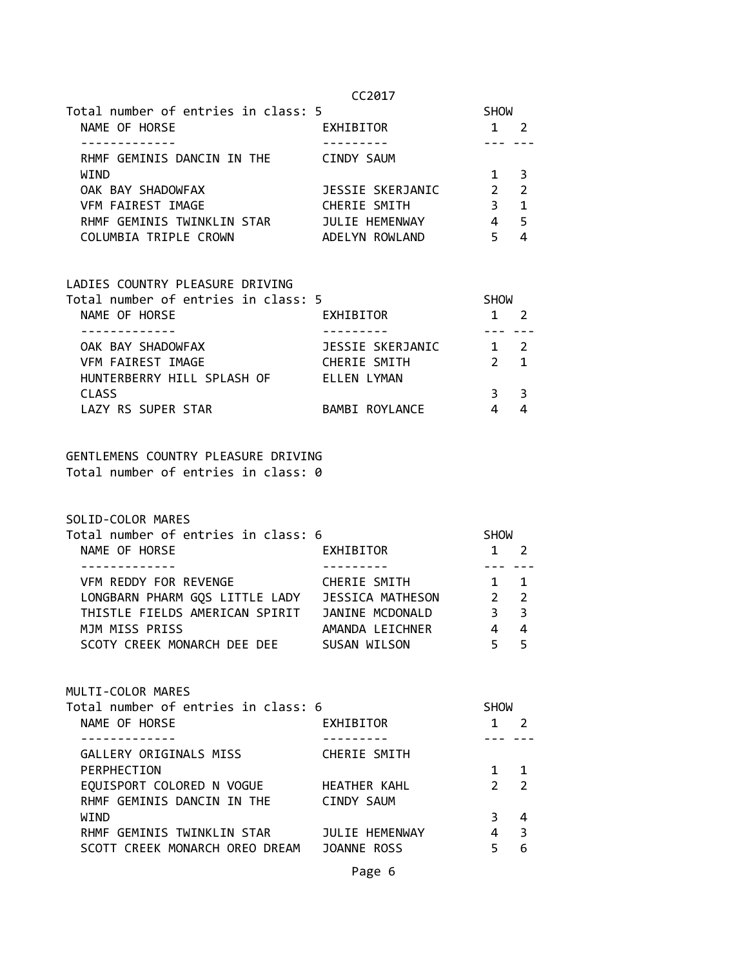| Total number of entries in class: 5 |                  | <b>SHOW</b>   |                            |  |
|-------------------------------------|------------------|---------------|----------------------------|--|
| NAME OF HORSE                       | EXHIBITOR        |               |                            |  |
|                                     |                  |               |                            |  |
| RHMF GEMINIS DANCIN IN THE          | CINDY SAUM       |               |                            |  |
| WIND                                |                  |               | $\overline{\phantom{a}}$ 3 |  |
| OAK BAY SHADOWFAX                   | JESSIE SKERJANIC | $\mathcal{P}$ | $\overline{2}$             |  |
| <b>VFM FAIREST IMAGE</b>            | CHERIE SMITH     | 3             | $\mathbf{1}$               |  |
| RHMF GEMINIS TWINKLIN STAR          | JULIE HEMENWAY   | 4             | 5                          |  |
| COLUMBIA TRIPLE CROWN               | ADELYN ROWLAND   |               |                            |  |

| LADIES COUNTRY PLEASURE DRIVING     |                  |               |                |
|-------------------------------------|------------------|---------------|----------------|
| Total number of entries in class: 5 |                  | <b>SHOW</b>   |                |
| NAME OF HORSE                       | <b>EXHIBITOR</b> |               |                |
|                                     |                  |               |                |
| OAK BAY SHADOWFAX                   | JESSIE SKERJANIC |               | $\mathcal{L}$  |
| VFM FAIREST IMAGE                   | CHERIE SMITH     | $\mathcal{P}$ | $\overline{1}$ |
| HUNTERBERRY HILL SPLASH OF          | ELLEN LYMAN      |               |                |
| <b>CLASS</b>                        |                  |               | 3              |
| LAZY RS SUPER STAR                  | BAMBI ROYLANCE   |               |                |

### GENTLEMENS COUNTRY PLEASURE DRIVING Total number of entries in class: 0

SOLID-COLOR MARES

| Total number of entries in class: 6 |                         | <b>SHOW</b> |                         |
|-------------------------------------|-------------------------|-------------|-------------------------|
| NAME OF HORSE                       | EXHIBITOR               |             |                         |
|                                     |                         |             |                         |
| VFM REDDY FOR REVENGE               | CHERIE SMITH            | $1 \quad 1$ |                         |
| LONGBARN PHARM GOS LITTLE LADY      | <b>JESSICA MATHESON</b> | $2 \quad 2$ |                         |
| THISTLE FIELDS AMERICAN SPIRIT      | JANINE MCDONALD         | 3           | $\overline{\mathbf{3}}$ |
| MJM MISS PRISS                      | AMANDA LEICHNER         |             | 4                       |
| SCOTY CREEK MONARCH DEE DEE         | SUSAN WILSON            |             | 5                       |

| MULTI-COLOR MARES                                                                                                     |  |  |
|-----------------------------------------------------------------------------------------------------------------------|--|--|
| $T_{\alpha}$ to $T_{\alpha}$ , $\alpha$ and $\alpha$ and $\alpha$ and $\alpha$ and $\alpha$ and $\alpha$ and $\alpha$ |  |  |

| Total number of entries in class: 6 |                       | <b>SHOW</b>   |                |  |
|-------------------------------------|-----------------------|---------------|----------------|--|
| NAME OF HORSE                       | EXHIBITOR             |               |                |  |
|                                     |                       |               |                |  |
| GALLERY ORIGINALS MISS              | CHERIE SMITH          |               |                |  |
| PERPHECTION                         |                       |               |                |  |
| EQUISPORT COLORED N VOGUE           | <b>HEATHER KAHL</b>   | $\mathcal{P}$ | $\overline{2}$ |  |
| RHMF GEMINIS DANCIN IN THE          | CINDY SAUM            |               |                |  |
| WIND                                |                       |               | 4              |  |
| RHMF GEMINIS TWINKLIN STAR          | <b>JULIE HEMENWAY</b> |               | З              |  |
| SCOTT CREEK MONARCH OREO DREAM      | JOANNE ROSS           |               | 6              |  |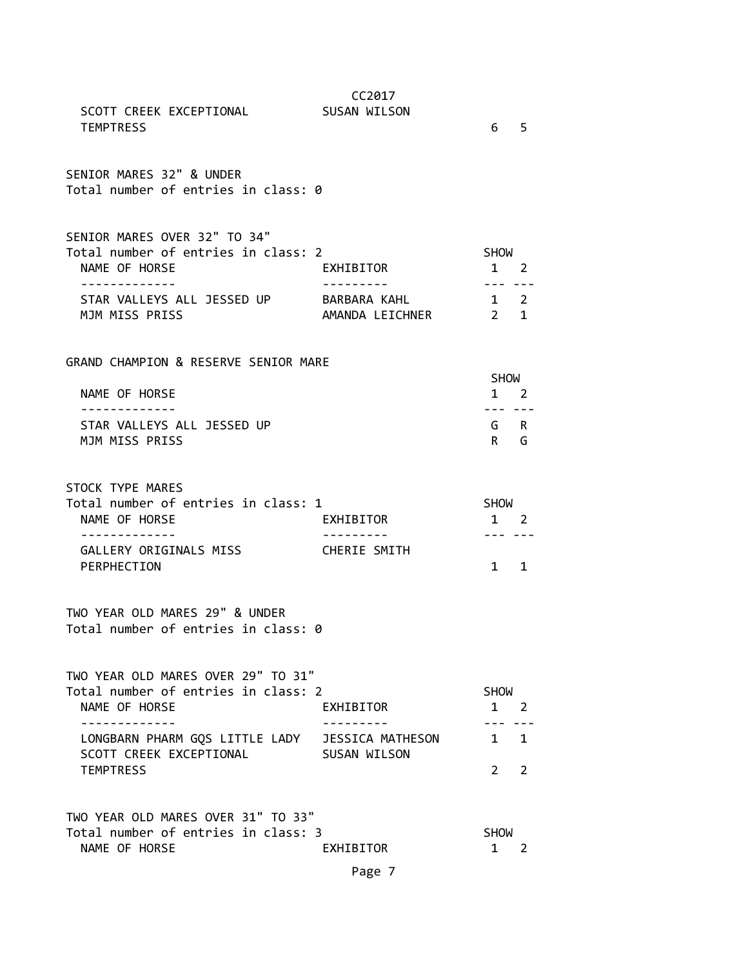| SCOTT CREEK EXCEPTIONAL<br><b>TEMPTRESS</b>                                                                                        | CC2017<br>SUSAN WILSON           | 6 <sub>5</sub>                        |                |
|------------------------------------------------------------------------------------------------------------------------------------|----------------------------------|---------------------------------------|----------------|
| SENIOR MARES 32" & UNDER<br>Total number of entries in class: 0                                                                    |                                  |                                       |                |
| SENIOR MARES OVER 32" TO 34"<br>Total number of entries in class: 2<br>NAME OF HORSE                                               | EXHIBITOR                        | <b>SHOW</b><br>$1 \quad 2$            |                |
| STAR VALLEYS ALL JESSED UP BARBARA KAHL<br>MJM MISS PRISS                                                                          |                                  | $1 \quad 2$                           |                |
| GRAND CHAMPION & RESERVE SENIOR MARE<br>NAME OF HORSE                                                                              |                                  | SHOW<br>$1 \quad 2$                   |                |
| .<br>STAR VALLEYS ALL JESSED UP<br>MJM MISS PRISS                                                                                  |                                  | --- ---<br>G R<br>$R$ G               |                |
| STOCK TYPE MARES<br>Total number of entries in class: 1<br>NAME OF HORSE<br>-------------<br>GALLERY ORIGINALS MISS<br>PERPHECTION | EXHIBITOR<br><b>CHERIE SMITH</b> | SHOW<br>1 2<br>--- ---<br>$1 \quad 1$ |                |
| TWO YEAR OLD MARES 29" & UNDER<br>Total number of entries in class: 0                                                              |                                  |                                       |                |
| TWO YEAR OLD MARES OVER 29" TO 31"<br>Total number of entries in class: 2<br>NAME OF HORSE<br>-----------                          | EXHIBITOR                        | <b>SHOW</b><br>$1 \quad 2$            |                |
| LONGBARN PHARM GQS LITTLE LADY JESSICA MATHESON<br>SCOTT CREEK EXCEPTIONAL<br><b>TEMPTRESS</b>                                     | SUSAN WILSON                     | $1 \quad 1$<br>$2^{\circ}$            | $\overline{2}$ |
| TWO YEAR OLD MARES OVER 31" TO 33"<br>Total number of entries in class: 3<br>NAME OF HORSE                                         | EXHIBITOR                        | <b>SHOW</b><br>1                      | 2              |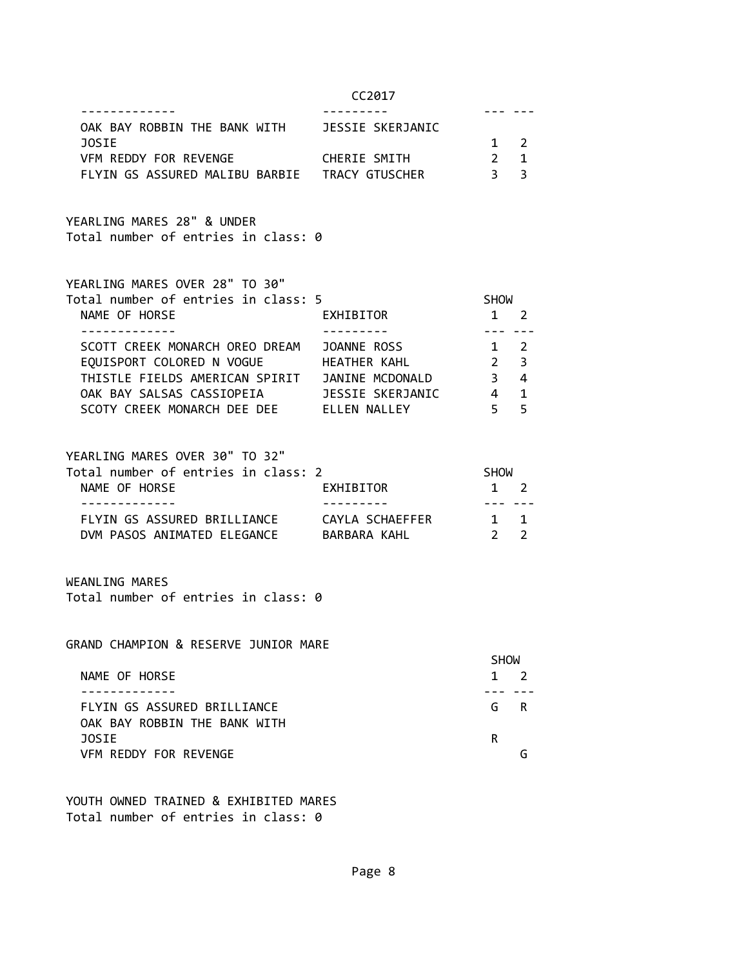| OAK BAY ROBBIN THE BANK WITH<br>JESSIE SKERJANIC |             |  |
|--------------------------------------------------|-------------|--|
| <b>JOSTE</b>                                     | $1 \quad 2$ |  |
| VFM REDDY FOR REVENGE<br>CHERIE SMITH            | 2 1         |  |
| FLYIN GS ASSURED MALIBU BARBIE<br>TRACY GTUSCHER | २ २         |  |

YEARLING MARES 28" & UNDER Total number of entries in class: 0

| YEARLING MARES OVER 28" TO 30" |  |  |  |  |  |  |
|--------------------------------|--|--|--|--|--|--|
|--------------------------------|--|--|--|--|--|--|

| Total number of entries in class: 5                | <b>SHOW</b>                              |
|----------------------------------------------------|------------------------------------------|
| NAME OF HORSE<br>EXHIBITOR                         |                                          |
|                                                    |                                          |
| SCOTT CREEK MONARCH OREO DREAM<br>JOANNE ROSS      | 2                                        |
| EQUISPORT COLORED N VOGUE<br>HEATHER KAHL          | $\overline{\mathbf{3}}$<br>$\mathcal{P}$ |
| THISTLE FIELDS AMERICAN SPIRIT<br>JANINE MCDONALD  | 4                                        |
| JESSIE SKERJANIC<br>OAK BAY SALSAS CASSIOPEIA      | $\mathbf{1}$                             |
| SCOTY CREEK MONARCH DEE DEE<br><b>ELLEN NALLEY</b> | 5                                        |

YEARLING MARES OVER 30" TO 32"

| Total number of entries in class: 2 |                 | <b>SHOW</b>  |  |
|-------------------------------------|-----------------|--------------|--|
| NAME OF HORSE                       | EXHIBITOR       | $1 \quad 2$  |  |
|                                     |                 |              |  |
| FLYIN GS ASSURED BRILLIANCE         | CAYLA SCHAEFFER | $1 \quad 1$  |  |
| DVM PASOS ANIMATED ELEGANCE         | BARBARA KAHL    | $2^{\prime}$ |  |

WEANLING MARES Total number of entries in class: 0

GRAND CHAMPION & RESERVE JUNIOR MARE

|                              | <b>SHOW</b> |
|------------------------------|-------------|
| NAME OF HORSE                | $1 \quad$   |
|                              |             |
| FLYIN GS ASSURED BRILLIANCE  | G R         |
| OAK BAY ROBBIN THE BANK WITH |             |
| <b>JOSTE</b>                 | R           |
| VFM REDDY FOR REVENGE        |             |

YOUTH OWNED TRAINED & EXHIBITED MARES Total number of entries in class: 0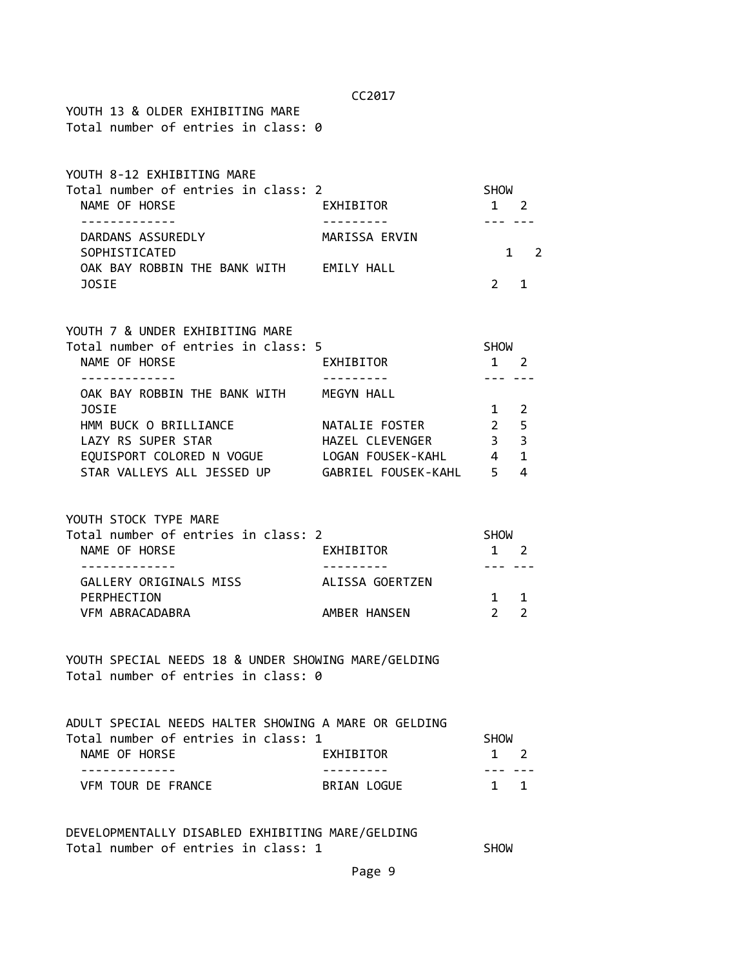| ٧ |  |
|---|--|
|---|--|

YOUTH 13 & OLDER EXHIBITING MARE Total number of entries in class: 0

| YOUTH 8-12 EXHIBITING MARE          |                   |                |
|-------------------------------------|-------------------|----------------|
| Total number of entries in class: 2 |                   | <b>SHOW</b>    |
| NAME OF HORSE                       | EXHIBITOR         | $\overline{2}$ |
|                                     |                   |                |
| DARDANS ASSUREDLY                   | MARISSA ERVIN     |                |
| SOPHISTICATED                       |                   | $1 \quad$      |
| OAK BAY ROBBIN THE BANK WITH        | <b>EMILY HALL</b> |                |
| <b>JOSTE</b>                        |                   |                |

|  |  | YOUTH 7 & UNDER EXHIBITING MARE |  |
|--|--|---------------------------------|--|
|  |  |                                 |  |

| EXHIBITOR           |                                     | 2             |                                                |
|---------------------|-------------------------------------|---------------|------------------------------------------------|
|                     |                                     |               |                                                |
| MEGYN HALL          |                                     |               |                                                |
|                     |                                     | $\mathcal{L}$ |                                                |
| NATALIE FOSTER      | $\mathcal{P}$                       |               |                                                |
| HAZEL CLEVENGER     | 3                                   |               |                                                |
| LOGAN FOUSEK-KAHL   |                                     | $\mathbf{1}$  |                                                |
| GABRIEL FOUSEK-KAHL |                                     | 4             |                                                |
|                     | Total number of entries in class: 5 |               | <b>SHOW</b><br>$-5$<br>$\overline{\mathbf{3}}$ |

YOUTH STOCK TYPE MARE

| Total number of entries in class: 2 |                 | <b>SHOW</b> |             |  |
|-------------------------------------|-----------------|-------------|-------------|--|
| NAME OF HORSE                       | EXHIBITOR       |             | $1 \quad 2$ |  |
|                                     |                 |             |             |  |
| GALLERY ORIGINALS MISS              | ALISSA GOERTZEN |             |             |  |
| PERPHECTION                         |                 |             | $1 \quad 1$ |  |
| VFM ABRACADABRA                     | AMBER HANSEN    |             |             |  |

YOUTH SPECIAL NEEDS 18 & UNDER SHOWING MARE/GELDING Total number of entries in class: 0

| ADULT SPECIAL NEEDS HALTER SHOWING A MARE OR GELDING |             |             |             |
|------------------------------------------------------|-------------|-------------|-------------|
| Total number of entries in class: 1                  |             | SHOW        |             |
| NAME OF HORSE                                        | EXHIBITOR   |             | $1 \quad 2$ |
|                                                      |             |             |             |
| VEM TOUR DE FRANCE                                   | BRTAN LOGUE | $1 \quad 1$ |             |

DEVELOPMENTALLY DISABLED EXHIBITING MARE/GELDING Total number of entries in class: 1 SHOW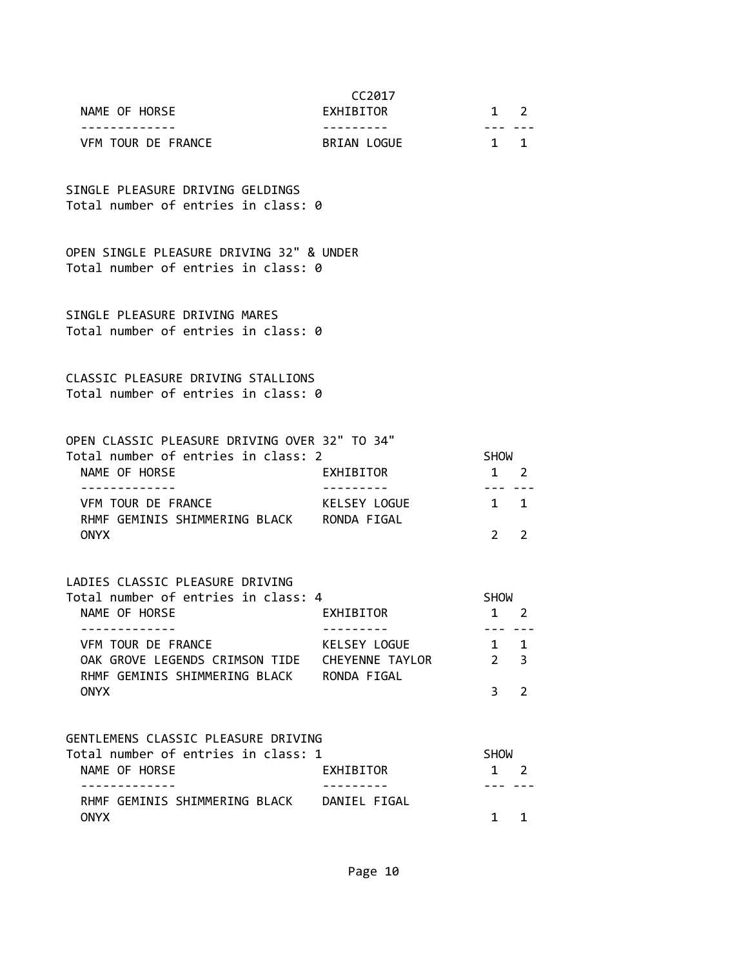|                                     | CC <sub>2017</sub> |               |  |
|-------------------------------------|--------------------|---------------|--|
| NAME OF HORSE                       | EXHIBITOR          | $\mathcal{L}$ |  |
|                                     |                    |               |  |
| VFM TOUR DE FRANCE                  | BRIAN LOGUE        |               |  |
|                                     |                    |               |  |
| SINGLE PLEASURE DRIVING GELDINGS    |                    |               |  |
| Total number of entries in class: 0 |                    |               |  |
|                                     |                    |               |  |

OPEN SINGLE PLEASURE DRIVING 32" & UNDER Total number of entries in class: 0

SINGLE PLEASURE DRIVING MARES Total number of entries in class: 0

CLASSIC PLEASURE DRIVING STALLIONS Total number of entries in class: 0

| OPEN CLASSIC PLEASURE DRIVING OVER 32" TO 34" |              |              |  |
|-----------------------------------------------|--------------|--------------|--|
| Total number of entries in class: 2           |              | <b>SHOW</b>  |  |
| NAME OF HORSE                                 | EXHIBITOR    | $1 \quad 2$  |  |
|                                               |              |              |  |
| VFM TOUR DE FRANCE                            | KELSEY LOGUE | $1 \quad 1$  |  |
| RHMF GEMINIS SHIMMERING BLACK                 | RONDA FIGAL  |              |  |
| <b>ONYX</b>                                   |              | $2^{\prime}$ |  |

LADIES CLASSIC PLEASURE DRIVING

| Total number of entries in class: 4 |                 | <b>SHOW</b>    |  |
|-------------------------------------|-----------------|----------------|--|
| NAME OF HORSE                       | EXHIBITOR       | $1 \quad 2$    |  |
|                                     |                 |                |  |
| VEM TOUR DE FRANCE                  | KELSEY LOGUE    | $1 \quad 1$    |  |
| OAK GROVE LEGENDS CRIMSON TIDE      | CHEYENNE TAYLOR | 2 <sup>3</sup> |  |
| RHMF GEMINIS SHIMMERING BLACK       | RONDA FIGAL     |                |  |
| <b>ONYX</b>                         |                 | २              |  |

#### GENTLEMENS CLASSIC PLEASURE DRIVING

| Total number of entries in class: 1 |              | SHOW        |  |
|-------------------------------------|--------------|-------------|--|
| NAME OF HORSE                       | EXHIBITOR    | $1 \quad 2$ |  |
|                                     |              |             |  |
| RHMF GEMINIS SHIMMERING BLACK       | DANIEL FIGAL |             |  |
| <b>ONYX</b>                         |              | $1 \quad 1$ |  |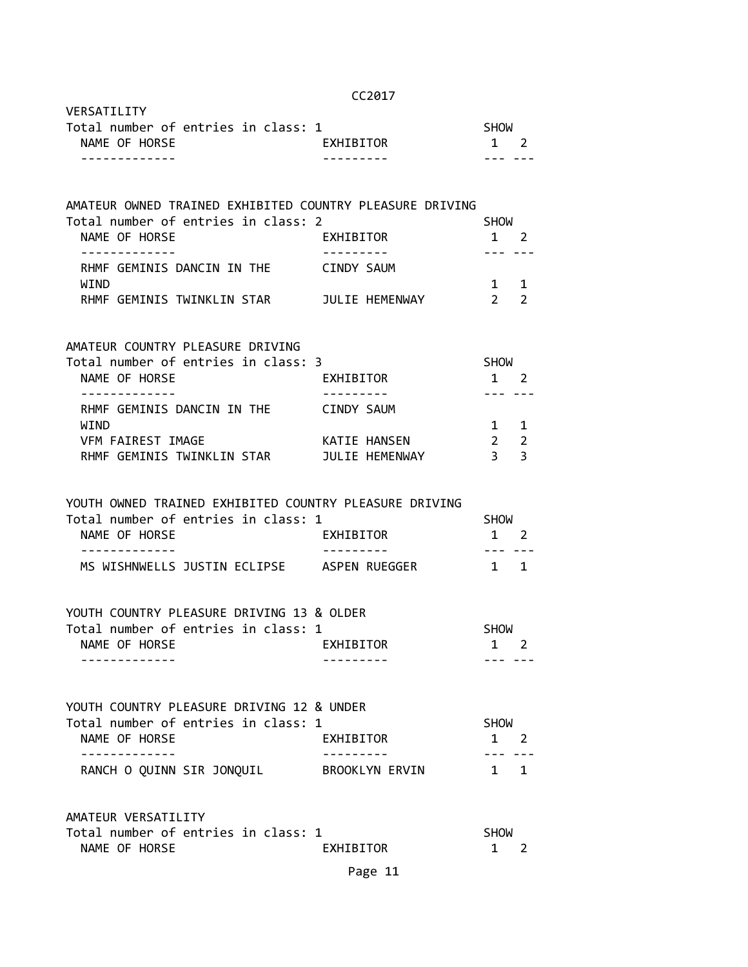|                                                                                                                | CC2017                         |                                               |
|----------------------------------------------------------------------------------------------------------------|--------------------------------|-----------------------------------------------|
| VERSATILITY<br>Total number of entries in class: 1<br>NAME OF HORSE                                            | EXHIBITOR                      | <b>SHOW</b><br>$1 \quad 2$                    |
| -------------                                                                                                  |                                |                                               |
| AMATEUR OWNED TRAINED EXHIBITED COUNTRY PLEASURE DRIVING                                                       |                                |                                               |
| Total number of entries in class: 2<br>NAME OF HORSE                                                           | EXHIBITOR                      | <b>SHOW</b><br>1 2                            |
| RHMF GEMINIS DANCIN IN THE<br>WIND                                                                             | CINDY SAUM                     | $1 \quad$                                     |
| RHMF GEMINIS TWINKLIN STAR       JULIE HEMENWAY                                                                |                                | $2^{\circ}$                                   |
| AMATEUR COUNTRY PLEASURE DRIVING                                                                               |                                |                                               |
| Total number of entries in class: 3<br>NAME OF HORSE                                                           | EXHIBITOR                      | <b>SHOW</b><br>1 2                            |
| -------------<br>RHMF GEMINIS DANCIN IN THE                                                                    | CINDY SAUM                     | $- - -$                                       |
| WIND<br>VFM FAIREST IMAGE<br>RHMF GEMINIS TWINKLIN STAR                                                        | KATIE HANSEN<br>JULIE HEMENWAY | $1 \quad$<br>$\overline{2}$<br>$\overline{3}$ |
| YOUTH OWNED TRAINED EXHIBITED COUNTRY PLEASURE DRIVING<br>Total number of entries in class: 1<br>NAME OF HORSE | EXHIBITOR                      | <b>SHOW</b><br>1 2                            |
| -------------<br>MS WISHNWELLS JUSTIN ECLIPSE ASPEN RUEGGER                                                    |                                | --- ---<br>1 1                                |
| YOUTH COUNTRY PLEASURE DRIVING 13 & OLDER                                                                      |                                |                                               |
| Total number of entries in class: 1                                                                            |                                | <b>SHOW</b>                                   |
| NAME OF HORSE                                                                                                  | EXHIBITOR                      | 1 2                                           |
| YOUTH COUNTRY PLEASURE DRIVING 12 & UNDER<br>Total number of entries in class: 1                               |                                |                                               |
| NAME OF HORSE                                                                                                  | EXHIBITOR                      | SHOW<br>$1 \quad 2$                           |
| ------------<br>RANCH O QUINN SIR JONQUIL BROOKLYN ERVIN                                                       |                                | $1 \quad 1$                                   |
|                                                                                                                |                                |                                               |
| AMATEUR VERSATILITY                                                                                            |                                |                                               |

|               |  | Total number of entries in class: 1 | <b>SHOW</b> |  |
|---------------|--|-------------------------------------|-------------|--|
| NAME OF HORSE |  | EXHIBITOR                           |             |  |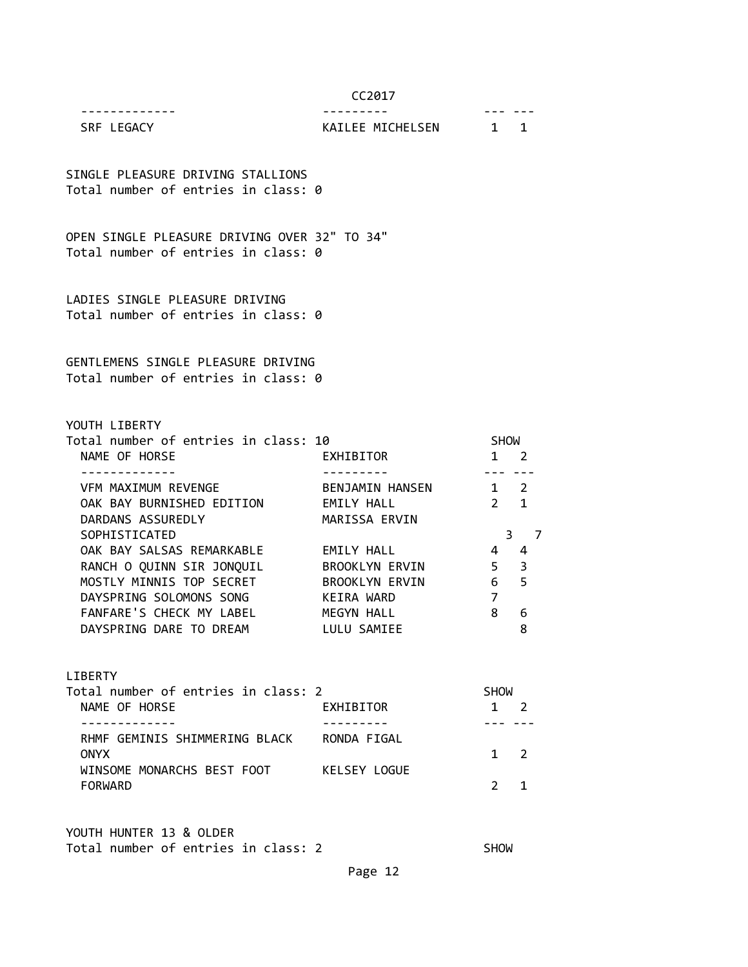------------- --------- --- ---

# SRF LEGACY **KAILEE MICHELSEN** 1 1

SINGLE PLEASURE DRIVING STALLIONS Total number of entries in class: 0

OPEN SINGLE PLEASURE DRIVING OVER 32" TO 34" Total number of entries in class: 0

LADIES SINGLE PLEASURE DRIVING Total number of entries in class: 0

GENTLEMENS SINGLE PLEASURE DRIVING Total number of entries in class: 0

YOUTH LIBERTY

| Total number of entries in class: 10 |                       | <b>SHOW</b>    |     |  |
|--------------------------------------|-----------------------|----------------|-----|--|
| NAME OF HORSE                        | EXHIBITOR             |                | - 2 |  |
|                                      |                       |                |     |  |
| VFM MAXIMUM REVENGE                  | BENJAMIN HANSEN       | $1 \quad 2$    |     |  |
| OAK BAY BURNISHED EDITION            | EMILY HALL            | $2 \quad 1$    |     |  |
| DARDANS ASSUREDLY                    | MARISSA ERVIN         |                |     |  |
| SOPHISTICATED                        |                       | 3              |     |  |
| OAK BAY SALSAS REMARKABLE            | EMILY HALL            | 4              | 4   |  |
| RANCH O QUINN SIR JONQUIL            | <b>BROOKLYN ERVIN</b> | 5 <sub>3</sub> |     |  |
| MOSTLY MINNIS TOP SECRET             | <b>BROOKLYN ERVIN</b> | 6              | 5   |  |
| DAYSPRING SOLOMONS SONG              | KEIRA WARD            | 7              |     |  |
| FANFARE'S CHECK MY LABEL             | MEGYN HALL            | 8              | 6   |  |
| DAYSPRING DARE TO DREAM              | LULU SAMIEE           |                | 8   |  |
|                                      |                       |                |     |  |

LIBERTY

| Total number of entries in class: 2          |              | <b>SHOW</b> |  |
|----------------------------------------------|--------------|-------------|--|
| NAME OF HORSE                                | EXHIBITOR    |             |  |
|                                              |              |             |  |
| RHMF GEMINIS SHIMMERING BLACK<br><b>ONYX</b> | RONDA FIGAL  | $1 \quad 2$ |  |
| WINSOME MONARCHS BEST FOOT                   | KELSEY LOGUE |             |  |
| <b>FORWARD</b>                               |              |             |  |

YOUTH HUNTER 13 & OLDER Total number of entries in class: 2 SHOW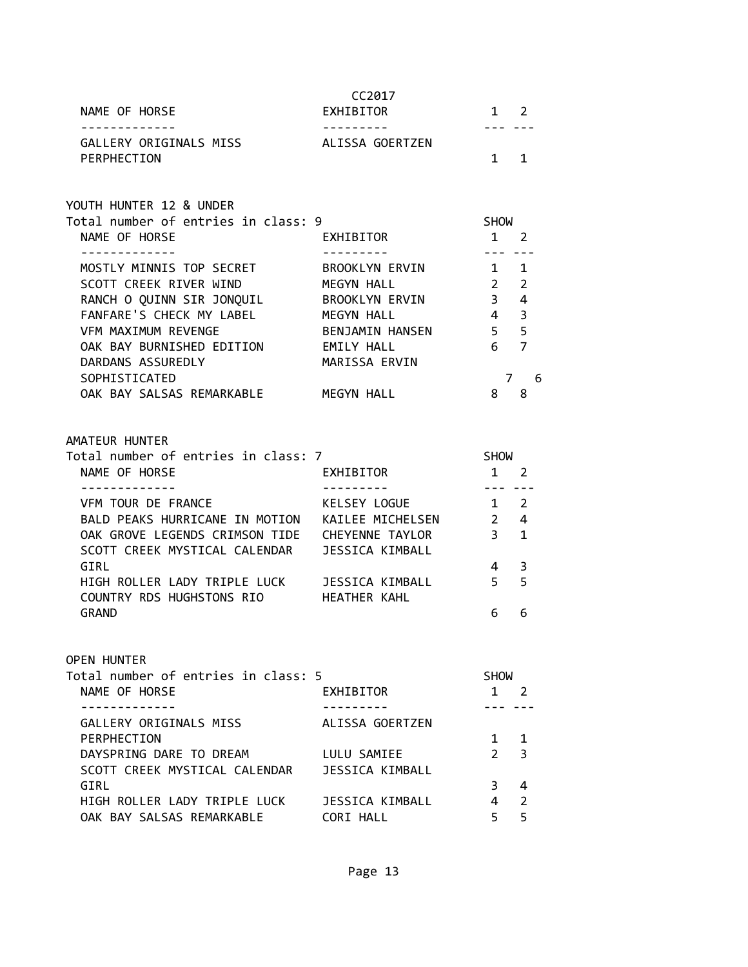| NAME OF HORSE                                                                                   | CC2017<br>EXHIBITOR<br>--------- |                                | $1 \quad 2$          |
|-------------------------------------------------------------------------------------------------|----------------------------------|--------------------------------|----------------------|
| GALLERY ORIGINALS MISS<br>PERPHECTION                                                           | ALISSA GOERTZEN                  |                                | $1 \quad 1$          |
| YOUTH HUNTER 12 & UNDER                                                                         |                                  |                                |                      |
| Total number of entries in class: 9<br>NAME OF HORSE<br>------------                            | EXHIBITOR                        | SHOW<br>$1 \quad 2$<br>--- --- |                      |
| MOSTLY MINNIS TOP SECRET                                                                        | BROOKLYN ERVIN                   | $1 \quad 1$                    |                      |
| SCOTT CREEK RIVER WIND                                                                          | MEGYN HALL                       | $2^{\circ}$                    | $\overline{2}$       |
| RANCH O QUINN SIR JONQUIL                                                                       | BROOKLYN ERVIN                   | 3 <sup>7</sup>                 | $\overline{4}$       |
| FANFARE'S CHECK MY LABEL MEGYN HALL                                                             |                                  | $4 \quad$                      | 3                    |
| VFM MAXIMUM REVENGE                                                                             | BENJAMIN HANSEN                  | $5 -$                          | 5                    |
| OAK BAY BURNISHED EDITION EMILY HALL                                                            |                                  | 6                              | $\overline{7}$       |
| DARDANS ASSUREDLY                                                                               | MARISSA ERVIN                    |                                |                      |
| SOPHISTICATED                                                                                   |                                  |                                | $\overline{7}$<br>-6 |
| OAK BAY SALSAS REMARKABLE MEGYN HALL                                                            |                                  | 8                              | 8                    |
| NAME OF HORSE<br>------------                                                                   | EXHIBITOR                        | $1 \quad 2$<br>222 222         |                      |
| VFM TOUR DE FRANCE                                                                              | KELSEY LOGUE                     | $1 \quad 2$                    |                      |
| BALD PEAKS HURRICANE IN MOTION KAILEE MICHELSEN                                                 |                                  | $2^{\circ}$                    | $\overline{4}$       |
| OAK GROVE LEGENDS CRIMSON TIDE CHEYENNE TAYLOR<br>SCOTT CREEK MYSTICAL CALENDAR JESSICA KIMBALL |                                  | 3 <sup>7</sup>                 | $\mathbf{1}$         |
| GIRL                                                                                            |                                  | 4                              | 3                    |
| HIGH ROLLER LADY TRIPLE LUCK JESSICA KIMBALL<br>COUNTRY RDS HUGHSTONS RIO HEATHER KAHL          |                                  | $5 -$                          | 5                    |
| <b>GRAND</b>                                                                                    |                                  | 6                              | 6                    |
| <b>OPEN HUNTER</b>                                                                              |                                  |                                |                      |
|                                                                                                 |                                  |                                |                      |
| Total number of entries in class: 5                                                             |                                  | <b>SHOW</b>                    |                      |
| NAME OF HORSE                                                                                   | EXHIBITOR                        |                                | $1 \quad 2$          |
| <u> - - - - - - - - - - - -</u><br>GALLERY ORIGINALS MISS                                       | ALISSA GOERTZEN                  | --- ---                        |                      |
| PERPHECTION                                                                                     |                                  | $1 \quad$                      | 1                    |
| DAYSPRING DARE TO DREAM                                                                         | LULU SAMIEE                      | $\mathcal{P}$                  | 3                    |
| SCOTT CREEK MYSTICAL CALENDAR                                                                   | JESSICA KIMBALL                  |                                |                      |
| GIRL                                                                                            |                                  | 3                              | 4                    |
| HIGH ROLLER LADY TRIPLE LUCK                                                                    | <b>JESSICA KIMBALL</b>           | 4                              | 2                    |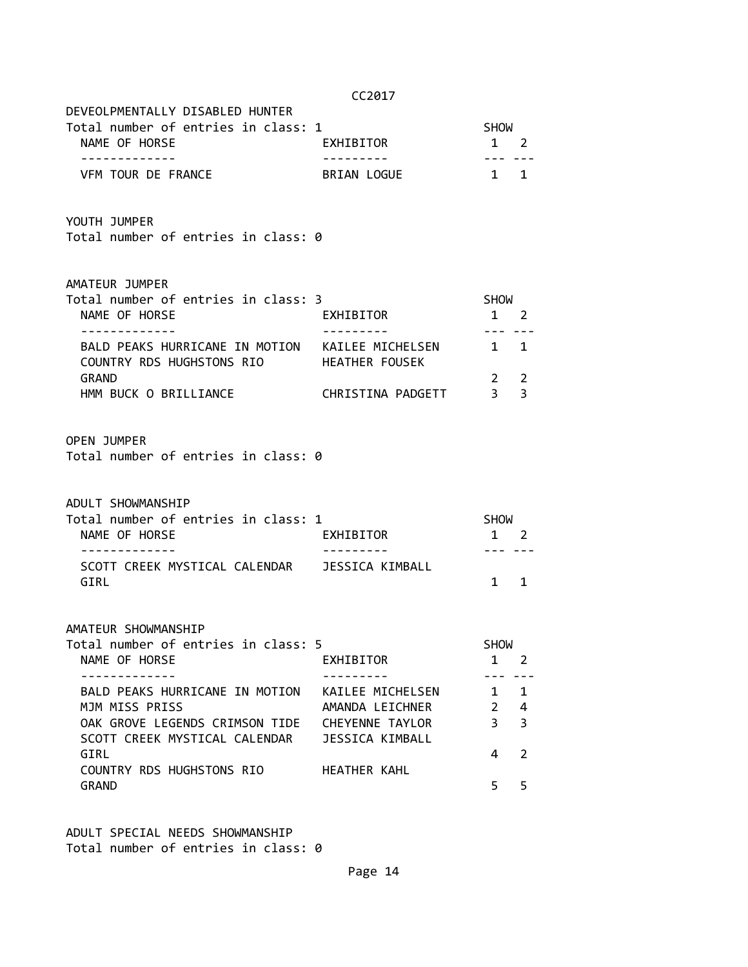|                                                                                                                     | CC2017                                                                           |                                     |                        |
|---------------------------------------------------------------------------------------------------------------------|----------------------------------------------------------------------------------|-------------------------------------|------------------------|
| DEVEOLPMENTALLY DISABLED HUNTER<br>Total number of entries in class: 1<br>NAME OF HORSE                             | EXHIBITOR                                                                        | SHOW<br>1 2<br>--- ---              |                        |
| -------------<br>VFM TOUR DE FRANCE                                                                                 | BRIAN LOGUE                                                                      | $1 \quad 1$                         |                        |
| YOUTH JUMPER<br>Total number of entries in class: 0                                                                 |                                                                                  |                                     |                        |
| AMATEUR JUMPER<br>Total number of entries in class: 3<br>NAME OF HORSE                                              | EXHIBITOR                                                                        | SHOW<br>$1\quad 2$                  |                        |
| -------------<br>BALD PEAKS HURRICANE IN MOTION KAILEE MICHELSEN 1 1<br>COUNTRY RDS HUGHSTONS RIO HEATHER FOUSEK    | ---------                                                                        | $- - - -$                           |                        |
| GRAND                                                                                                               |                                                                                  | $2^{\circ}$<br>3 <sup>1</sup>       | 2<br>$\overline{3}$    |
| <b>OPEN JUMPER</b><br>Total number of entries in class: 0                                                           |                                                                                  |                                     |                        |
| ADULT SHOWMANSHIP<br>Total number of entries in class: 1<br>NAME OF HORSE                                           | EXHIBITOR                                                                        | SHOW<br>$1\quad 2$                  |                        |
| -------------<br>SCOTT CREEK MYSTICAL CALENDAR JESSICA KIMBALL<br>GIRL                                              |                                                                                  | --- ---<br>$1 \quad$                | $\mathbf{1}$           |
| AMATEUR SHOWMANSHIP<br>Total number of entries in class: 5<br>NAME OF HORSE                                         | <b>EXHIBITOR</b>                                                                 | <b>SHOW</b><br>$1 \quad 2$          |                        |
| BALD PEAKS HURRICANE IN MOTION<br>MJM MISS PRISS<br>OAK GROVE LEGENDS CRIMSON TIDE<br>SCOTT CREEK MYSTICAL CALENDAR | KAILEE MICHELSEN<br>AMANDA LEICHNER<br>CHEYENNE TAYLOR<br><b>JESSICA KIMBALL</b> | $\mathbf{1}$<br>$\overline{2}$<br>3 | $\mathbf{1}$<br>4<br>3 |

 $GIRL$  4 2

GRAND 5 5 5

COUNTRY RDS HUGHSTONS RIO HEATHER KAHL

ADULT SPECIAL NEEDS SHOWMANSHIP Total number of entries in class: 0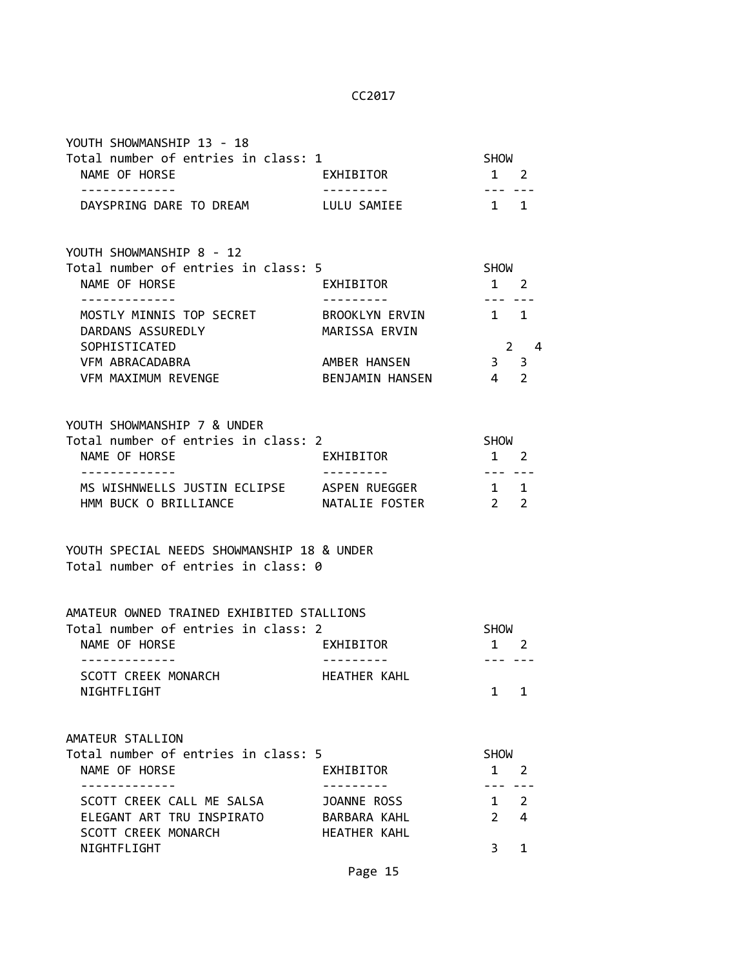| YOUTH SHOWMANSHIP 13 - 18<br>Total number of entries in class: 1<br>NAME OF HORSE                    | EXHIBITOR                           | <b>SHOW</b><br>1 2<br>--- ---  |             |
|------------------------------------------------------------------------------------------------------|-------------------------------------|--------------------------------|-------------|
| DAYSPRING DARE TO DREAM LULU SAMIEE                                                                  |                                     | $1 \quad 1$                    |             |
| YOUTH SHOWMANSHIP 8 - 12                                                                             |                                     |                                |             |
| Total number of entries in class: 5<br>NAME OF HORSE                                                 | EXHIBITOR                           | SHOW<br>$1 \quad 2$<br>--- --- |             |
| MOSTLY MINNIS TOP SECRET BROOKLYN ERVIN<br>DARDANS ASSUREDLY<br>SOPHISTICATED                        | MARISSA ERVIN                       | 1 1                            | $2 \quad 4$ |
| VFM ABRACADABRA<br>VFM MAXIMUM REVENGE                                                               | AMBER HANSEN<br>BENJAMIN HANSEN     | 3 <sup>3</sup><br>4 2          |             |
| YOUTH SHOWMANSHIP 7 & UNDER<br>Total number of entries in class: 2<br>NAME OF HORSE<br>------------- | EXHIBITOR<br>----------             | SHOW<br>1 2                    |             |
| MS WISHNWELLS JUSTIN ECLIPSE ASPEN RUEGGER<br>HMM BUCK O BRILLIANCE                                  | NATALIE FOSTER                      | 1 1<br>2 <sub>2</sub>          |             |
| YOUTH SPECIAL NEEDS SHOWMANSHIP 18 & UNDER<br>Total number of entries in class: 0                    |                                     |                                |             |
| AMATEUR OWNED TRAINED EXHIBITED STALLIONS                                                            |                                     |                                |             |
| Total number of entries in class: 2<br>NAME OF HORSE                                                 | EXHIBITOR                           | <b>SHOW</b><br>1 2             |             |
| SCOTT CREEK MONARCH<br>NIGHTFLIGHT                                                                   | HEATHER KAHL                        | 1                              | 1           |
| AMATEUR STALLION                                                                                     |                                     |                                |             |
| Total number of entries in class: 5<br>NAME OF HORSE                                                 | EXHIBITOR                           | <b>SHOW</b><br>$1 \quad 2$     |             |
| . <u>_ _ _ _ _ _ _ _ _ _ _</u> _<br>SCOTT CREEK CALL ME SALSA                                        | JOANNE ROSS                         | ---<br>$1 \quad 2$             |             |
| ELEGANT ART TRU INSPIRATO<br><b>SCOTT CREEK MONARCH</b>                                              | BARBARA KAHL<br><b>HEATHER KAHL</b> | $\overline{2}$                 | 4           |
| NIGHTFLIGHT                                                                                          |                                     | 3                              | 1           |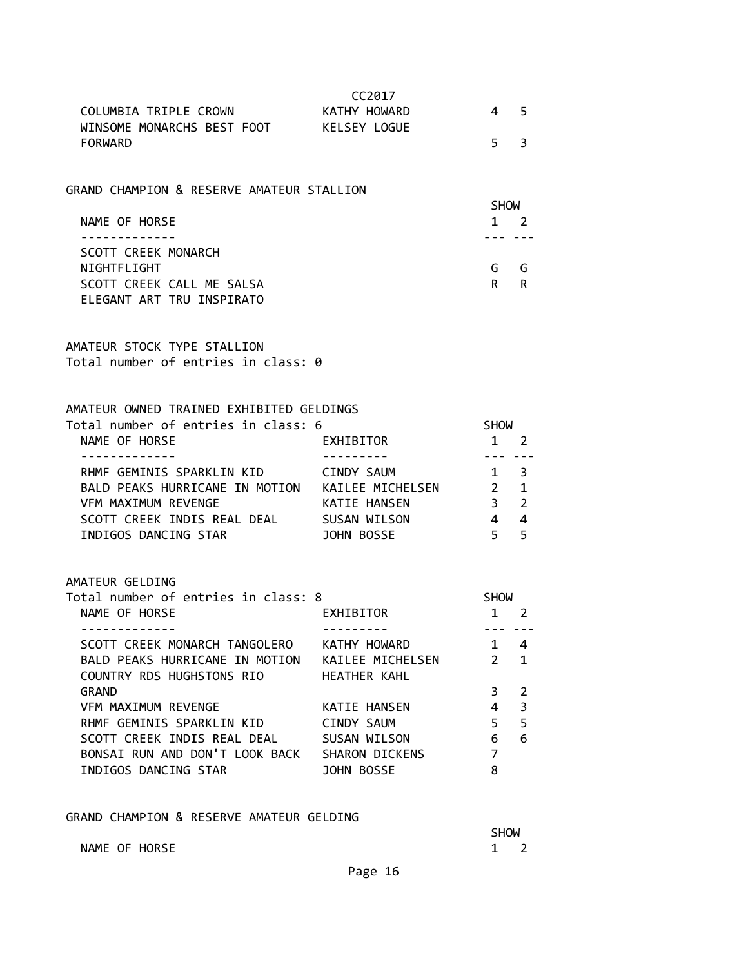| CC <sub>2017</sub> |    |  |
|--------------------|----|--|
| KATHY HOWARD       | 45 |  |
| KELSEY LOGUE       |    |  |
|                    | 53 |  |
|                    |    |  |

# GRAND CHAMPION & RESERVE AMATEUR STALLION

|                           | <b>SHOW</b> |             |
|---------------------------|-------------|-------------|
| NAME OF HORSE             |             | $1 \quad 2$ |
|                           |             |             |
| SCOTT CREEK MONARCH       |             |             |
| NIGHTFLIGHT               | G           | G           |
| SCOTT CREEK CALL ME SALSA | R           | R           |
| ELEGANT ART TRU INSPIRATO |             |             |

AMATEUR STOCK TYPE STALLION Total number of entries in class: 0

# AMATEUR OWNED TRAINED EXHIBITED GELDINGS<br>Total number of entries in class: 6

| Total number of entries in class: 6 |                  | <b>SHOW</b>   |                |
|-------------------------------------|------------------|---------------|----------------|
| NAME OF HORSE                       | EXHIBITOR        |               | $\overline{2}$ |
|                                     |                  |               |                |
| RHMF GEMINIS SPARKLIN KID           | CINDY SAUM       | $1 \quad 3$   |                |
| BALD PEAKS HURRICANE IN MOTION      | KAILEE MICHELSEN | $\mathcal{P}$ | $\overline{1}$ |
| VFM MAXIMUM REVENGE                 | KATIE HANSEN     | 3             | $\overline{2}$ |
| SCOTT CREEK INDIS REAL DEAL         | SUSAN WILSON     |               | 4              |
| INDIGOS DANCING STAR                | JOHN BOSSE       |               | - 5            |

# AMATEUR GELDING

| AMAIEUR GELDING                     |                       |                          |             |  |
|-------------------------------------|-----------------------|--------------------------|-------------|--|
| Total number of entries in class: 8 |                       | <b>SHOW</b>              |             |  |
| NAME OF HORSE                       | EXHIBITOR             |                          | 2           |  |
|                                     |                       |                          |             |  |
| SCOTT CREEK MONARCH TANGOLERO       | KATHY HOWARD          | $\overline{\phantom{1}}$ | 4           |  |
| BALD PEAKS HURRICANE IN MOTION      | KAILEE MICHELSEN      | $\overline{2}$           | $\mathbf 1$ |  |
| COUNTRY RDS HUGHSTONS RIO           | HEATHER KAHL          |                          |             |  |
| <b>GRAND</b>                        |                       | 3                        | 2           |  |
| VFM MAXIMUM REVENGE                 | KATIE HANSEN          |                          | 3           |  |
| RHMF GEMINIS SPARKLIN KID           | CINDY SAUM            | 5                        | 5           |  |
| SCOTT CREEK INDIS REAL DEAL         | SUSAN WILSON          | 6                        | 6           |  |
| BONSAI RUN AND DON'T LOOK BACK      | <b>SHARON DICKENS</b> | 7                        |             |  |
| INDIGOS DANCING STAR                | JOHN BOSSE            | 8                        |             |  |
|                                     |                       |                          |             |  |

#### GRAND CHAMPION & RESERVE AMATEUR GELDING

NAME OF HORSE 1 2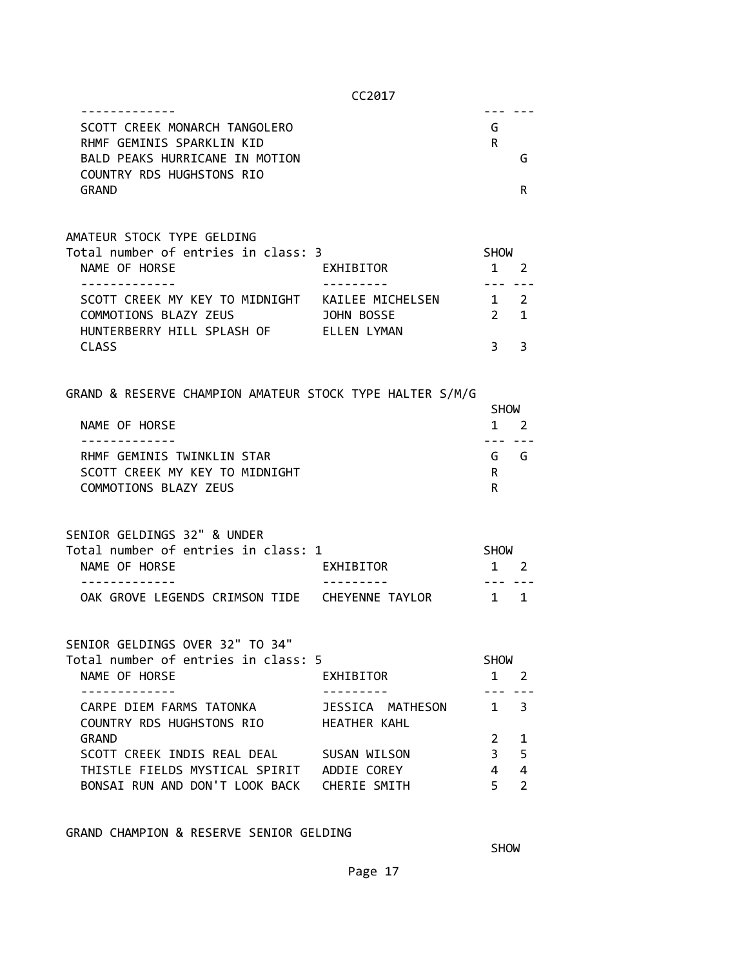| SCOTT CREEK MONARCH TANGOLERO<br>RHMF GEMINIS SPARKLIN KID                                                             |                                         | G<br>R.              |                                           |
|------------------------------------------------------------------------------------------------------------------------|-----------------------------------------|----------------------|-------------------------------------------|
| BALD PEAKS HURRICANE IN MOTION<br>COUNTRY RDS HUGHSTONS RIO                                                            |                                         |                      | G                                         |
| <b>GRAND</b>                                                                                                           |                                         |                      | R                                         |
| AMATEUR STOCK TYPE GELDING                                                                                             |                                         |                      |                                           |
| Total number of entries in class: 3<br>NAME OF HORSE                                                                   | EXHIBITOR                               | SHOW<br>$1 \quad 2$  |                                           |
| .                                                                                                                      |                                         | --- ---              |                                           |
| SCOTT CREEK MY KEY TO MIDNIGHT KAILEE MICHELSEN 1 2<br>COMMOTIONS BLAZY ZEUS<br>HUNTERBERRY HILL SPLASH OF ELLEN LYMAN | <b>JOHN BOSSE</b>                       | $2 \quad 1$          |                                           |
| <b>CLASS</b>                                                                                                           |                                         | 3                    | 3                                         |
| GRAND & RESERVE CHAMPION AMATEUR STOCK TYPE HALTER S/M/G                                                               |                                         |                      |                                           |
|                                                                                                                        |                                         | SHOW                 |                                           |
| NAME OF HORSE<br>-------------                                                                                         |                                         | $1 \quad 2$<br>--- - |                                           |
| RHMF GEMINIS TWINKLIN STAR                                                                                             |                                         | G G                  |                                           |
| SCOTT CREEK MY KEY TO MIDNIGHT                                                                                         |                                         | R                    |                                           |
| COMMOTIONS BLAZY ZEUS                                                                                                  |                                         | R.                   |                                           |
| SENIOR GELDINGS 32" & UNDER                                                                                            |                                         |                      |                                           |
| Total number of entries in class: 1                                                                                    |                                         | <b>SHOW</b>          |                                           |
| NAME OF HORSE                                                                                                          | EXHIBITOR                               | 1 2                  |                                           |
| OAK GROVE LEGENDS CRIMSON TIDE  CHEYENNE TAYLOR                                                                        |                                         | $1 \quad 1$          |                                           |
| SENIOR GELDINGS OVER 32" TO 34"                                                                                        |                                         |                      |                                           |
| Total number of entries in class: 5                                                                                    |                                         | <b>SHOW</b>          |                                           |
| NAME OF HORSE                                                                                                          | EXHIBITOR                               | $\mathbf{1}$         | $\overline{2}$                            |
| CARPE DIEM FARMS TATONKA<br>COUNTRY RDS HUGHSTONS RIO                                                                  | JESSICA MATHESON<br><b>HEATHER KAHL</b> | $\mathbf{1}$         | 3                                         |
| <b>GRAND</b>                                                                                                           |                                         | $\mathbf{2}$         | 1                                         |
| SCOTT CREEK INDIS REAL DEAL SUSAN WILSON                                                                               |                                         | 3<br>$\overline{4}$  | 5                                         |
| THISTLE FIELDS MYSTICAL SPIRIT ADDIE COREY<br>BONSAI RUN AND DON'T LOOK BACK CHERIE SMITH                              |                                         | 5                    | $\overline{\mathbf{4}}$<br>$\overline{2}$ |
|                                                                                                                        |                                         |                      |                                           |

GRAND CHAMPION & RESERVE SENIOR GELDING

**SHOW SHOW**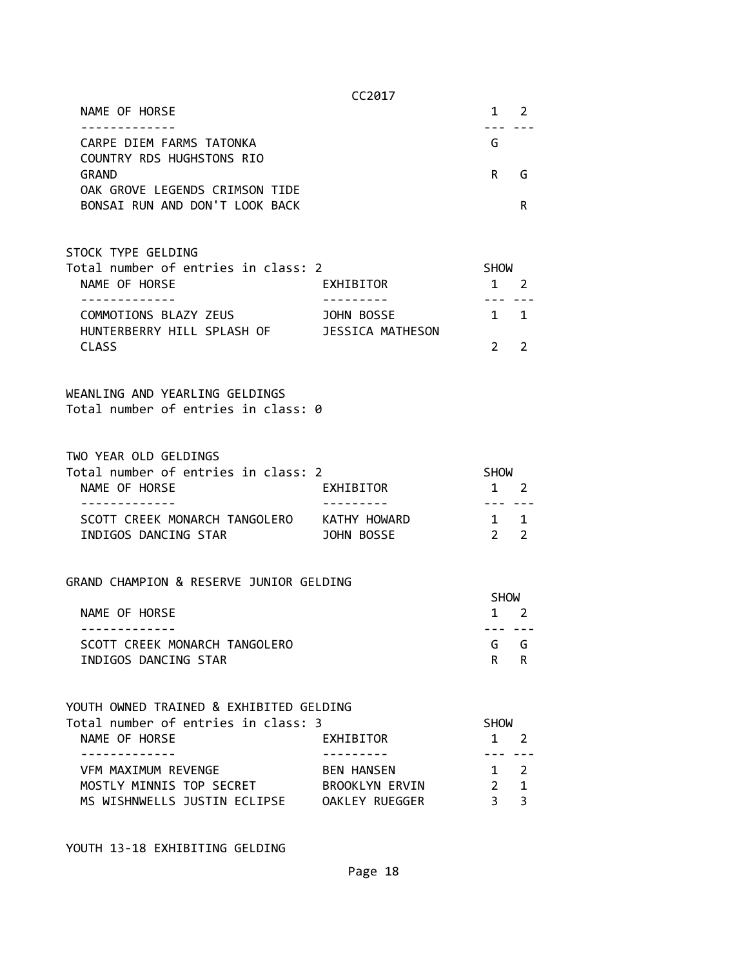CC2017 NAME OF HORSE 1 2 ------------- --- --- CARPE DIEM FARMS TATONKA G COUNTRY RDS HUGHSTONS RIO GRAND R G OAK GROVE LEGENDS CRIMSON TIDE BONSAI RUN AND DON'T LOOK BACK RESOLUTION OF REAL PROPERTY OF REAL PROPERTY.

# STOCK TYPE GELDING

| Total number of entries in class: 2 |                  | <b>SHOW</b> |             |  |
|-------------------------------------|------------------|-------------|-------------|--|
| NAME OF HORSE                       | EXHIBITOR        |             | $1 \quad 2$ |  |
|                                     |                  |             |             |  |
| COMMOTIONS BLAZY ZEUS               | JOHN BOSSE       |             | $1 \quad 1$ |  |
| HUNTERBERRY HILL SPLASH OF          | JESSICA MATHESON |             |             |  |
| <b>CLASS</b>                        |                  | $2^{\circ}$ |             |  |

#### WEANLING AND YEARLING GELDINGS Total number of entries in class: 0

#### TWO YEAR OLD GELDINGS

| Total number of entries in class: 2 |              | SHOW        |  |
|-------------------------------------|--------------|-------------|--|
| NAME OF HORSE                       | EXHIBITOR    | $1 \quad 2$ |  |
|                                     |              |             |  |
| SCOTT CREEK MONARCH TANGOLERO       | KATHY HOWARD | $1 \quad 1$ |  |
| INDIGOS DANCING STAR                | JOHN BOSSE   | $2^{\circ}$ |  |

#### GRAND CHAMPION & RESERVE JUNIOR GELDING

|                               | <b>SHOW</b> |             |
|-------------------------------|-------------|-------------|
| NAME OF HORSE                 |             | $1 \quad 2$ |
|                               |             |             |
| SCOTT CREEK MONARCH TANGOLERO |             | G G         |
| INDIGOS DANCING STAR          |             | R R         |

# YOUTH OWNED TRAINED & EXHIBITED GELDING

| Total number of entries in class: 3 |                       | <b>SHOW</b> |             |  |
|-------------------------------------|-----------------------|-------------|-------------|--|
| NAME OF HORSE                       | EXHIBITOR             |             | $1 \quad 2$ |  |
|                                     |                       |             |             |  |
| VFM MAXIMUM REVENGE                 | <b>BEN HANSEN</b>     |             | $1 \quad 2$ |  |
| MOSTLY MINNIS TOP SECRET            | <b>BROOKLYN ERVIN</b> |             | $2 \quad 1$ |  |
| MS WISHNWELLS JUSTIN ECLIPSE        | OAKLEY RUEGGER        | २ २         |             |  |

YOUTH 13-18 EXHIBITING GELDING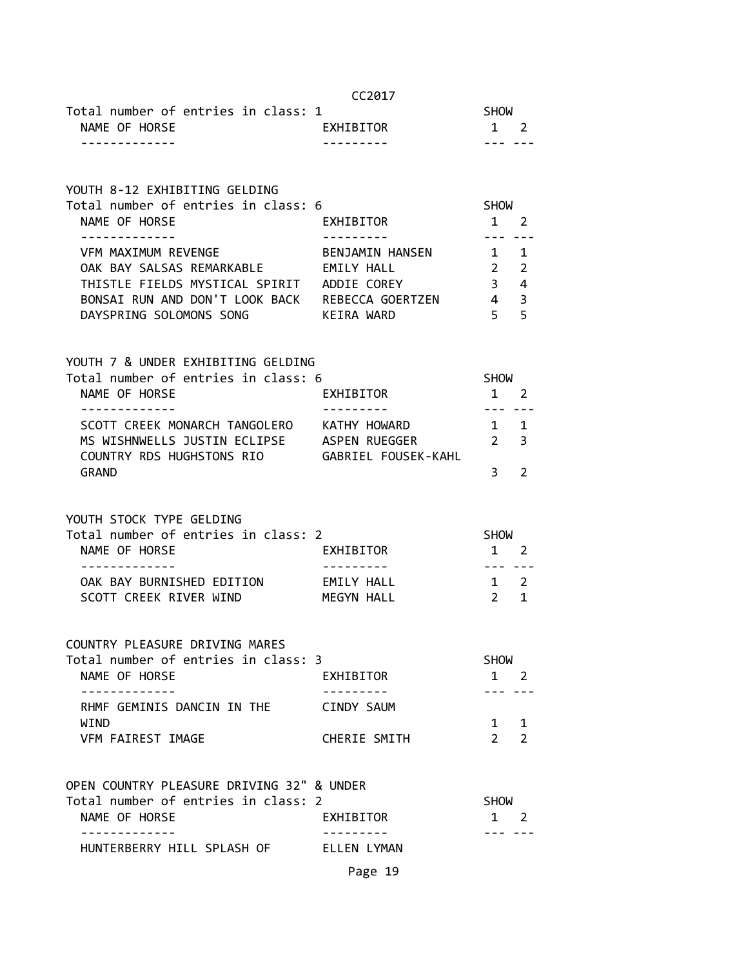|                                                                           | CC2017              |                        |   |
|---------------------------------------------------------------------------|---------------------|------------------------|---|
| Total number of entries in class: 1                                       |                     | <b>SHOW</b>            |   |
| NAME OF HORSE                                                             | EXHIBITOR           | 1 2                    |   |
| -------------                                                             |                     | --- ---                |   |
|                                                                           |                     |                        |   |
| YOUTH 8-12 EXHIBITING GELDING                                             |                     |                        |   |
| Total number of entries in class: 6                                       |                     | SHOW                   |   |
| NAME OF HORSE                                                             | EXHIBITOR           | 1 2                    |   |
| .                                                                         |                     | ---                    |   |
| VFM MAXIMUM REVENGE                                                       | BENJAMIN HANSEN 1 1 |                        |   |
| OAK BAY SALSAS REMARKABLE EMILY HALL                                      |                     | $2 \quad 2$            |   |
| THISTLE FIELDS MYSTICAL SPIRIT ADDIE COREY                                |                     | $3 \overline{4}$       |   |
| BONSAI RUN AND DON'T LOOK BACK REBECCA GOERTZEN 4 3                       |                     |                        |   |
| DAYSPRING SOLOMONS SONG KEIRA WARD                                        |                     | 5 <sub>5</sub>         |   |
|                                                                           |                     |                        |   |
|                                                                           |                     |                        |   |
| YOUTH 7 & UNDER EXHIBITING GELDING<br>Total number of entries in class: 6 |                     |                        |   |
|                                                                           |                     | SHOW                   |   |
| NAME OF HORSE<br>--------------                                           | EXHIBITOR           | $1 \quad 2$            |   |
| SCOTT CREEK MONARCH TANGOLERO KATHY HOWARD                                | ---------           | --- ---<br>$1 \quad 1$ |   |
| MS WISHNWELLS JUSTIN ECLIPSE ASPEN RUEGGER                                |                     |                        |   |
|                                                                           |                     | $2 \quad 3$            |   |
| COUNTRY RDS HUGHSTONS RIO GABRIEL FOUSEK-KAHL                             |                     |                        |   |
| <b>GRAND</b>                                                              |                     | $3^{\circ}$            | 2 |
|                                                                           |                     |                        |   |
| YOUTH STOCK TYPE GELDING                                                  |                     |                        |   |
| Total number of entries in class: 2                                       |                     | <b>SHOW</b>            |   |
| NAME OF HORSE                                                             | EXHIBITOR           | 1 2                    |   |
|                                                                           |                     | $- - -$                |   |
| OAK BAY BURNISHED EDITION EMILY HALL                                      |                     | $1 \quad 2$            |   |
| SCOTT CREEK RIVER WIND MEGYN HALL                                         |                     | $2 \quad 1$            |   |
|                                                                           |                     |                        |   |
| COUNTRY PLEASURE DRIVING MARES                                            |                     |                        |   |
| Total number of entries in class: 3                                       |                     | SHOW                   |   |
| NAME OF HORSE                                                             | EXHIBITOR           | $1 \quad 2$            |   |
| RHMF GEMINIS DANCIN IN THE                                                | CINDY SAUM          |                        |   |
| WIND                                                                      |                     | $1 \quad 1$            |   |
|                                                                           |                     | 2 <sub>2</sub>         |   |
| VFM FAIREST IMAGE                                                         | CHERIE SMITH        |                        |   |
|                                                                           |                     |                        |   |
| OPEN COUNTRY PLEASURE DRIVING 32" & UNDER                                 |                     |                        |   |
| Total number of entries in class: 2                                       |                     | SHOW                   |   |
| NAME OF HORSE                                                             | EXHIBITOR           | 1 2                    |   |
| -----------<br>HUNTERBERRY HILL SPLASH OF                                 | ELLEN LYMAN         |                        |   |
|                                                                           |                     |                        |   |

Page 19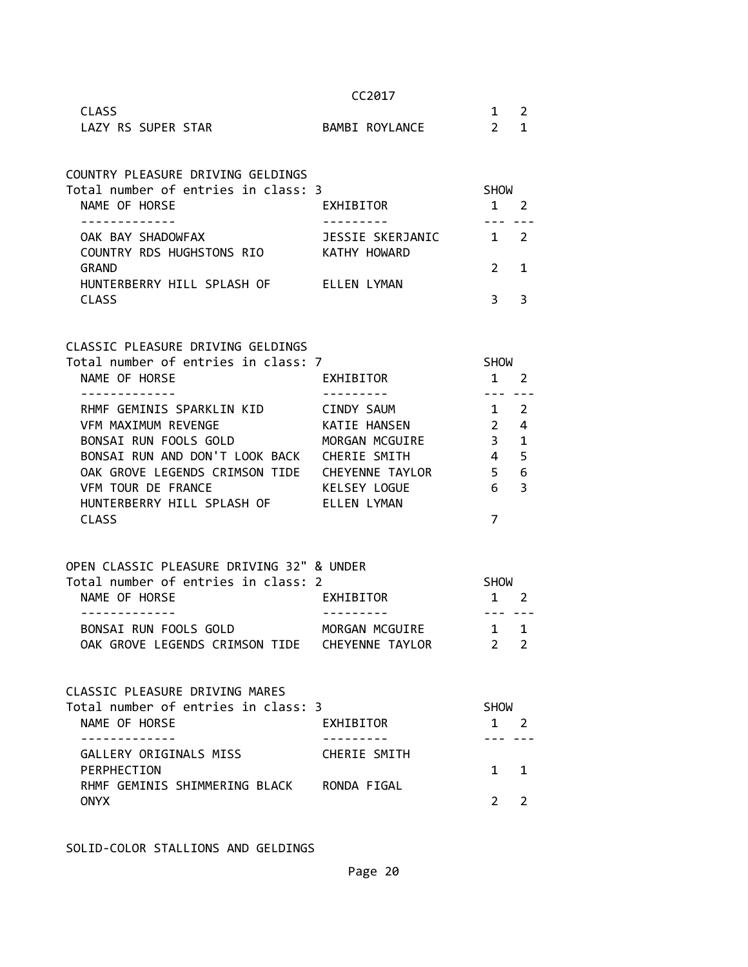|                                                                        |              | CC2017                     |                            |                     |
|------------------------------------------------------------------------|--------------|----------------------------|----------------------------|---------------------|
| <b>CLASS</b><br>LAZY RS SUPER STAR                                     |              | BAMBI ROYLANCE             | $1 \quad$<br>$2^{\circ}$   | $\overline{2}$<br>1 |
| COUNTRY PLEASURE DRIVING GELDINGS                                      |              |                            |                            |                     |
| Total number of entries in class: 3<br>NAME OF HORSE                   | EXHIBITOR    |                            | <b>SHOW</b><br>$1 \quad 2$ |                     |
| OAK BAY SHADOWFAX<br>COUNTRY RDS HUGHSTONS RIO KATHY HOWARD            |              | JESSIE SKERJANIC           | $\overline{1}$             | $\overline{2}$      |
| <b>GRAND</b><br>HUNTERBERRY HILL SPLASH OF ELLEN LYMAN<br><b>CLASS</b> |              |                            | $\overline{2}$<br>3        | $\mathbf 1$<br>3    |
|                                                                        |              |                            |                            |                     |
| CLASSIC PLEASURE DRIVING GELDINGS                                      |              |                            |                            |                     |
| Total number of entries in class: 7<br>NAME OF HORSE                   | EXHIBITOR    |                            | <b>SHOW</b><br>$1 \quad 2$ |                     |
|                                                                        |              |                            | ----                       |                     |
| RHMF GEMINIS SPARKLIN KID<br>VFM MAXIMUM REVENGE                       |              | CINDY SAUM<br>KATIE HANSEN | 1<br>$2^{\circ}$           | 2                   |
| BONSAI RUN FOOLS GOLD                                                  |              | MORGAN MCGUIRE             | $\frac{3}{2}$              | 4<br>$\mathbf{1}$   |
| BONSAI RUN AND DON'T LOOK BACK CHERIE SMITH                            |              |                            | $\overline{4}$             | 5                   |
| OAK GROVE LEGENDS CRIMSON TIDE  CHEYENNE TAYLOR                        |              |                            | 5 <sub>1</sub>             | 6                   |
| VFM TOUR DE FRANCE                                                     | KELSEY LOGUE |                            | 6                          | 3                   |
| HUNTERBERRY HILL SPLASH OF FLLEN LYMAN                                 |              |                            |                            |                     |
| <b>CLASS</b>                                                           |              |                            | 7                          |                     |
| OPEN CLASSIC PLEASURE DRIVING 32" & UNDER                              |              |                            |                            |                     |
| Total number of entries in class: 2<br>NAME OF HORSE                   | EXHIBITOR    |                            | <b>SHOW</b><br>$1 \quad 2$ |                     |
|                                                                        |              |                            | ----                       |                     |
| BONSAI RUN FOOLS GOLD                                                  |              | MORGAN MCGUIRE             | $\sim$ 1                   | 1                   |
| OAK GROVE LEGENDS CRIMSON TIDE CHEYENNE TAYLOR                         |              |                            | $\mathbf{2}^{\prime}$      | 2                   |
| CLASSIC PLEASURE DRIVING MARES                                         |              |                            |                            |                     |
| Total number of entries in class: 3                                    |              |                            | <b>SHOW</b>                |                     |
| NAME OF HORSE                                                          | EXHIBITOR    |                            | $1 \quad$                  | $\overline{2}$      |
| GALLERY ORIGINALS MISS                                                 |              | CHERIE SMITH               |                            |                     |
| PERPHECTION<br>RHMF GEMINIS SHIMMERING BLACK RONDA FIGAL               |              |                            | $\mathbf{1}$               | 1                   |
| <b>ONYX</b>                                                            |              |                            | $\overline{2}$             | $\overline{2}$      |

SOLID-COLOR STALLIONS AND GELDINGS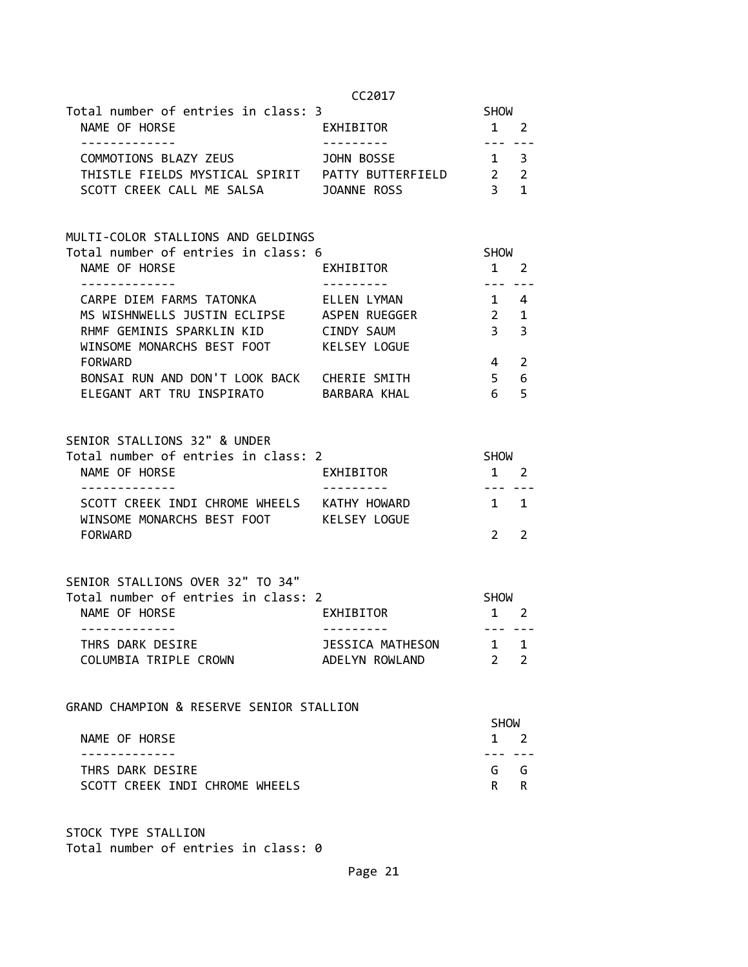| Total number of entries in class: 3                                                       |                                | <b>SHOW</b>                                                                                                                                                                                                                                                                                                                                                                                                                                                                |                                 |
|-------------------------------------------------------------------------------------------|--------------------------------|----------------------------------------------------------------------------------------------------------------------------------------------------------------------------------------------------------------------------------------------------------------------------------------------------------------------------------------------------------------------------------------------------------------------------------------------------------------------------|---------------------------------|
| NAME OF HORSE<br>-------------                                                            | EXHIBITOR                      | $1 \quad 2$<br>$- - -$                                                                                                                                                                                                                                                                                                                                                                                                                                                     | $- - -$                         |
| COMMOTIONS BLAZY ZEUS                                                                     | JOHN BOSSE                     | $1 \quad 3$                                                                                                                                                                                                                                                                                                                                                                                                                                                                |                                 |
|                                                                                           |                                |                                                                                                                                                                                                                                                                                                                                                                                                                                                                            |                                 |
| THISTLE FIELDS MYSTICAL SPIRIT PATTY BUTTERFIELD<br>SCOTT CREEK CALL ME SALSA JOANNE ROSS |                                | $\begin{array}{ccc} 2 & 2 \\ 3 & 1 \end{array}$                                                                                                                                                                                                                                                                                                                                                                                                                            |                                 |
| MULTI-COLOR STALLIONS AND GELDINGS                                                        |                                |                                                                                                                                                                                                                                                                                                                                                                                                                                                                            |                                 |
| Total number of entries in class: 6                                                       |                                | SHOW                                                                                                                                                                                                                                                                                                                                                                                                                                                                       |                                 |
| NAME OF HORSE<br>------------- <i>-</i>                                                   | EXHIBITOR                      | 1                                                                                                                                                                                                                                                                                                                                                                                                                                                                          | $\overline{2}$<br>$\frac{1}{2}$ |
| CARPE DIEM FARMS TATONKA ELLEN LYMAN                                                      |                                | $1 \quad 4$                                                                                                                                                                                                                                                                                                                                                                                                                                                                |                                 |
| MS WISHNWELLS JUSTIN ECLIPSE ASPEN RUEGGER                                                |                                | $2^{\circ}$                                                                                                                                                                                                                                                                                                                                                                                                                                                                | 1                               |
| RHMF GEMINIS SPARKLIN KID CINDY SAUM                                                      |                                | 3 <sup>7</sup>                                                                                                                                                                                                                                                                                                                                                                                                                                                             | 3                               |
| WINSOME MONARCHS BEST FOOT KELSEY LOGUE                                                   |                                |                                                                                                                                                                                                                                                                                                                                                                                                                                                                            |                                 |
| <b>FORWARD</b>                                                                            |                                | 4                                                                                                                                                                                                                                                                                                                                                                                                                                                                          | 2                               |
| BONSAI RUN AND DON'T LOOK BACK CHERIE SMITH                                               |                                | 5 <sub>1</sub>                                                                                                                                                                                                                                                                                                                                                                                                                                                             | 6                               |
| ELEGANT ART TRU INSPIRATO BARBARA KHAL                                                    |                                | 6                                                                                                                                                                                                                                                                                                                                                                                                                                                                          | 5                               |
| SENIOR STALLIONS 32" & UNDER                                                              |                                |                                                                                                                                                                                                                                                                                                                                                                                                                                                                            |                                 |
| Total number of entries in class: 2                                                       |                                | SHOW                                                                                                                                                                                                                                                                                                                                                                                                                                                                       |                                 |
| NAME OF HORSE                                                                             | EXHIBITOR                      | $1 \quad 2$                                                                                                                                                                                                                                                                                                                                                                                                                                                                |                                 |
| -------------                                                                             | ----------                     | $\frac{1}{2} \left( \frac{1}{2} \right) \left( \frac{1}{2} \right) \left( \frac{1}{2} \right) \left( \frac{1}{2} \right) \left( \frac{1}{2} \right) \left( \frac{1}{2} \right) \left( \frac{1}{2} \right) \left( \frac{1}{2} \right) \left( \frac{1}{2} \right) \left( \frac{1}{2} \right) \left( \frac{1}{2} \right) \left( \frac{1}{2} \right) \left( \frac{1}{2} \right) \left( \frac{1}{2} \right) \left( \frac{1}{2} \right) \left( \frac{1}{2} \right) \left( \frac$ |                                 |
| SCOTT CREEK INDI CHROME WHEELS KATHY HOWARD<br>WINSOME MONARCHS BEST FOOT KELSEY LOGUE    |                                |                                                                                                                                                                                                                                                                                                                                                                                                                                                                            | $1 \quad 1$                     |
| FORWARD                                                                                   |                                | $\overline{2}$                                                                                                                                                                                                                                                                                                                                                                                                                                                             | 2                               |
| SENIOR STALLIONS OVER 32" TO 34"                                                          |                                |                                                                                                                                                                                                                                                                                                                                                                                                                                                                            |                                 |
| Total number of entries in class: 2                                                       |                                | <b>SHOW</b>                                                                                                                                                                                                                                                                                                                                                                                                                                                                |                                 |
| NAME OF HORSE                                                                             | EXHIBITOR                      | $1 \quad 2$                                                                                                                                                                                                                                                                                                                                                                                                                                                                |                                 |
| -------------<br>THRS DARK DESIRE                                                         | ----------<br>JESSICA MATHESON | --- ---<br>1 1                                                                                                                                                                                                                                                                                                                                                                                                                                                             |                                 |
| COLUMBIA TRIPLE CROWN                                                                     | ADELYN ROWLAND                 | $\overline{2}$                                                                                                                                                                                                                                                                                                                                                                                                                                                             | $\overline{2}$                  |
|                                                                                           |                                |                                                                                                                                                                                                                                                                                                                                                                                                                                                                            |                                 |

GRAND CHAMPION & RESERVE SENIOR STALLION

| <b>SHOW</b> |             |
|-------------|-------------|
|             | $1 \quad 2$ |
|             |             |
|             | G G         |
|             | R R         |
|             |             |

STOCK TYPE STALLION Total number of entries in class: 0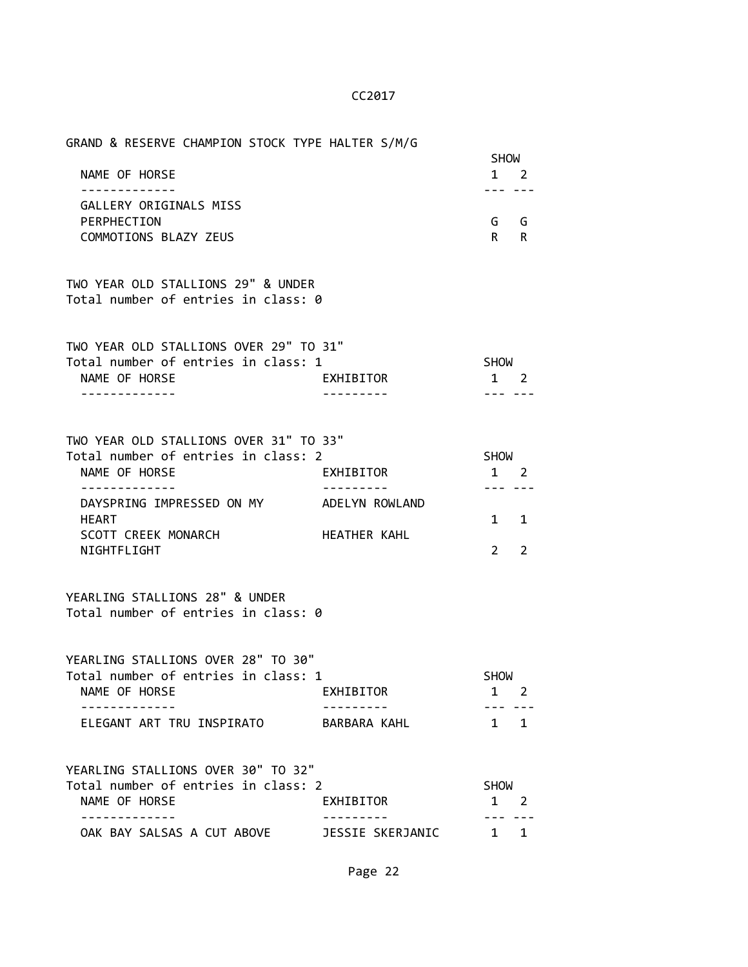| GRAND & RESERVE CHAMPION STOCK TYPE HALTER S/M/G |             |   |  |
|--------------------------------------------------|-------------|---|--|
|                                                  | <b>SHOW</b> |   |  |
| NAME OF HORSE                                    |             |   |  |
|                                                  |             |   |  |
| GALLERY ORIGINALS MISS                           |             |   |  |
| PERPHECTION                                      | G.          | G |  |
| COMMOTIONS BLAZY ZEUS                            | R           | R |  |
|                                                  |             |   |  |

TWO YEAR OLD STALLIONS 29" & UNDER Total number of entries in class: 0

| TWO YEAR OLD STALLIONS OVER 29" TO 31" |           |             |  |
|----------------------------------------|-----------|-------------|--|
| Total number of entries in class: 1    |           | <b>SHOW</b> |  |
| NAME OF HORSE                          | EXHIBITOR | $1 \quad 2$ |  |
|                                        |           |             |  |

| TWO YEAR OLD STALLIONS OVER 31" TO 33" |                |             |             |  |
|----------------------------------------|----------------|-------------|-------------|--|
| Total number of entries in class: 2    |                | <b>SHOW</b> |             |  |
| NAME OF HORSE                          | EXHIBITOR      |             |             |  |
|                                        |                |             |             |  |
| DAYSPRING IMPRESSED ON MY              | ADELYN ROWLAND |             |             |  |
| <b>HEART</b>                           |                |             | $1 \quad 1$ |  |
| SCOTT CREEK MONARCH                    | HEATHER KAHL   |             |             |  |
| NIGHTFLIGHT                            |                |             |             |  |

# YEARLING STALLIONS 28" & UNDER Total number of entries in class: 0

YEARLING STALLIONS OVER 28" TO 30"

| Total number of entries in class: 1 |              | <b>SHOW</b> |  |
|-------------------------------------|--------------|-------------|--|
| NAME OF HORSE                       | EXHIBITOR    | $1 \quad 2$ |  |
|                                     |              |             |  |
| ELEGANT ART TRU INSPIRATO           | RARRARA KAHI | $1 \quad 1$ |  |

| YEARLING STALLIONS OVER 30" TO 32"  |                  |             |  |
|-------------------------------------|------------------|-------------|--|
| Total number of entries in class: 2 |                  | <b>SHOW</b> |  |
| NAME OF HORSE                       | EXHIBITOR        | $1 \quad 2$ |  |
|                                     |                  |             |  |
| OAK BAY SALSAS A CUT ABOVE          | JESSIE SKERJANIC | $1 \quad 1$ |  |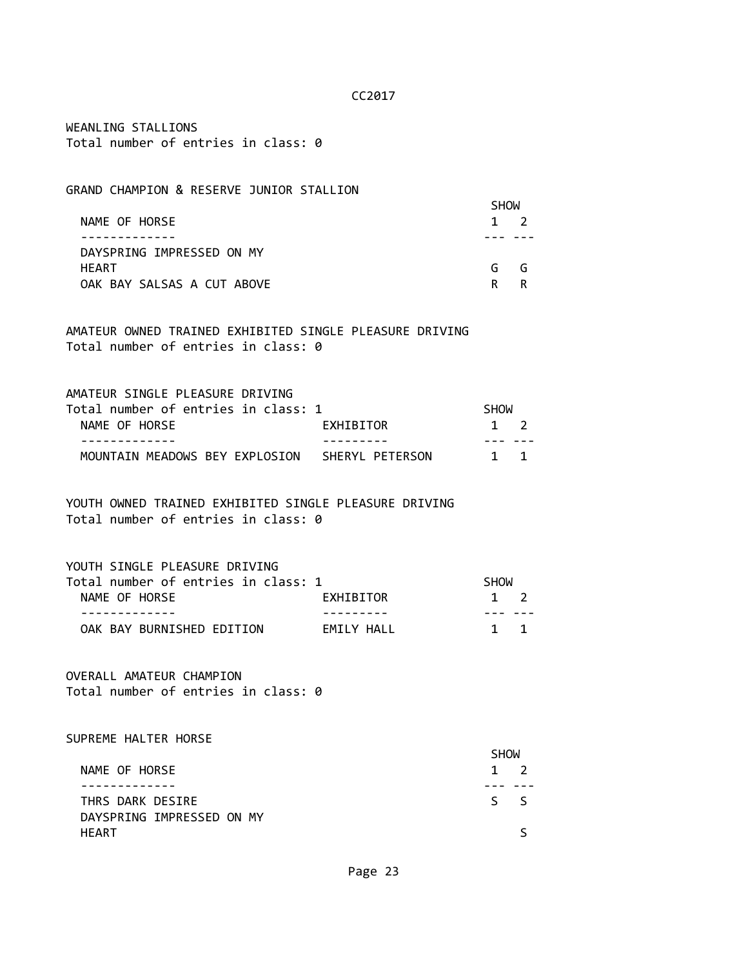WEANLING STALLIONS Total number of entries in class: 0

# GRAND CHAMPION & RESERVE JUNIOR STALLION

|                            | <b>SHOW</b> |             |  |
|----------------------------|-------------|-------------|--|
| NAME OF HORSE              |             | $1 \quad 2$ |  |
|                            |             |             |  |
| DAYSPRING IMPRESSED ON MY  |             |             |  |
| <b>HEART</b>               | G           | G           |  |
| OAK BAY SALSAS A CUT ABOVE | R.          |             |  |

AMATEUR OWNED TRAINED EXHIBITED SINGLE PLEASURE DRIVING Total number of entries in class: 0

| AMATEUR SINGLE PLEASURE DRIVING     |                 |             |  |
|-------------------------------------|-----------------|-------------|--|
| Total number of entries in class: 1 |                 | <b>SHOW</b> |  |
| NAME OF HORSE                       | EXHIBITOR       | $1 \quad 2$ |  |
|                                     |                 |             |  |
| MOUNTAIN MEADOWS BEY EXPLOSION      | SHERYL PETERSON | $1 \quad 1$ |  |

YOUTH OWNED TRAINED EXHIBITED SINGLE PLEASURE DRIVING Total number of entries in class: 0

YOUTH SINGLE PLEASURE DRIVING

| Total number of entries in class: 1 |            | SHOW        |
|-------------------------------------|------------|-------------|
| NAME OF HORSE                       | EXHIBITOR  | $1 \quad 2$ |
|                                     |            |             |
| OAK BAY BURNISHED EDITION           | FMTIY HAII | $1 \quad 1$ |

OVERALL AMATEUR CHAMPION Total number of entries in class: 0

SUPREME HALTER HORSE

|                           | <b>SHOW</b> |
|---------------------------|-------------|
| NAME OF HORSE             | $1 \quad 2$ |
|                           |             |
| THRS DARK DESIRE          | $S_S$       |
| DAYSPRING IMPRESSED ON MY |             |
| <b>HEART</b>              |             |